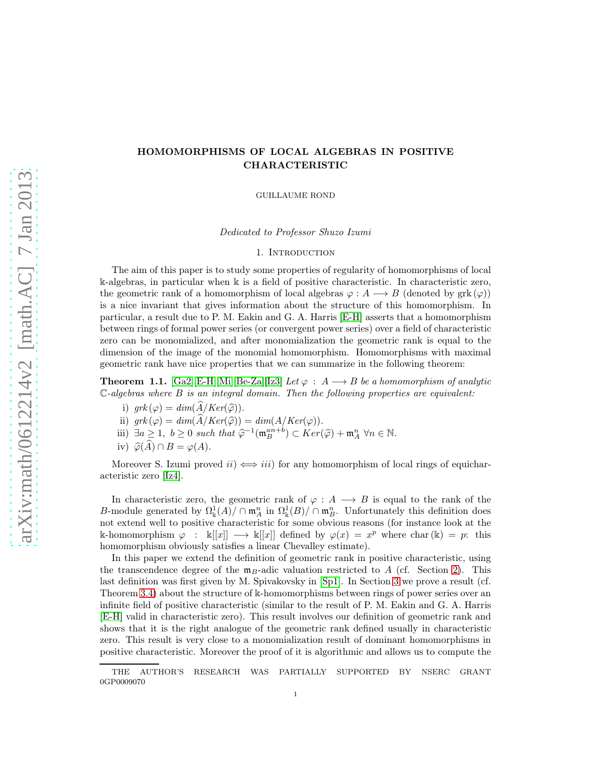# HOMOMORPHISMS OF LOCAL ALGEBRAS IN POSITIVE CHARACTERISTIC

GUILLAUME ROND

Dedicated to Professor Shuzo Izumi

1. Introduction

The aim of this paper is to study some properties of regularity of homomorphisms of local k-algebras, in particular when k is a field of positive characteristic. In characteristic zero, the geometric rank of a homomorphism of local algebras  $\varphi : A \longrightarrow B$  (denoted by grk  $(\varphi)$ ) is a nice invariant that gives information about the structure of this homomorphism. In particular, a result due to P. M. Eakin and G. A. Harris [\[E-H\]](#page-25-0) asserts that a homomorphism between rings of formal power series (or convergent power series) over a field of characteristic zero can be monomialized, and after monomialization the geometric rank is equal to the dimension of the image of the monomial homomorphism. Homomorphisms with maximal geometric rank have nice properties that we can summarize in the following theorem:

<span id="page-0-0"></span>**Theorem 1.1.** [\[Ga2\]](#page-25-1)[\[E-H\]](#page-25-0)[\[Mi\]](#page-25-2)[\[Be-Za\]](#page-25-3)[\[Iz3\]](#page-25-4) Let  $\varphi : A \longrightarrow B$  be a homomorphism of analytic  $\mathbb{C}\text{-}algebras$  where  $B$  is an integral domain. Then the following properties are equivalent:

- i)  $grk(\varphi) = dim(\overline{A}/Ker(\widehat{\varphi}))$ .
- ii)  $grk(\varphi) = dim(A/Ker(\widehat{\varphi})) = dim(A/Ker(\varphi)).$
- iii)  $\exists a \geq 1, b \geq 0$  such that  $\widehat{\varphi}^{-1}(\mathfrak{m}_B^{an+b}) \subset Ker(\widehat{\varphi}) + \mathfrak{m}_A^n$   $\forall n \in \mathbb{N}$ .
- iv)  $\widehat{\varphi}(\widehat{A}) \cap B = \varphi(A)$ .

Moreover S. Izumi proved  $ii) \Leftrightarrow iii)$  for any homomorphism of local rings of equicharacteristic zero [\[Iz4\]](#page-25-5).

In characteristic zero, the geometric rank of  $\varphi : A \longrightarrow B$  is equal to the rank of the B-module generated by  $\Omega_{\mathbb{k}}^1(A)/\cap \mathfrak{m}_A^n$  in  $\Omega_{\mathbb{k}}^1(B)/\cap \mathfrak{m}_B^n$ . Unfortunately this definition does not extend well to positive characteristic for some obvious reasons (for instance look at the k-homomorphism  $\varphi : \kappa[[x]] \longrightarrow \kappa[[x]]$  defined by  $\varphi(x) = x^p$  where char $(\kappa) = p$ : this homomorphism obviously satisfies a linear Chevalley estimate).

In this paper we extend the definition of geometric rank in positive characteristic, using the transcendence degree of the  $\mathfrak{m}_B$ -adic valuation restricted to A (cf. Section [2\)](#page-2-0). This last definition was first given by M. Spivakovsky in [\[Sp1\]](#page-25-6). In Section [3](#page-5-0) we prove a result (cf. Theorem [3.4\)](#page-6-0) about the structure of k-homomorphisms between rings of power series over an infinite field of positive characteristic (similar to the result of P. M. Eakin and G. A. Harris [\[E-H\]](#page-25-0) valid in characteristic zero). This result involves our definition of geometric rank and shows that it is the right analogue of the geometric rank defined usually in characteristic zero. This result is very close to a monomialization result of dominant homomorphisms in positive characteristic. Moreover the proof of it is algorithmic and allows us to compute the

THE AUTHOR'S RESEARCH WAS PARTIALLY SUPPORTED BY NSERC GRANT 0GP0009070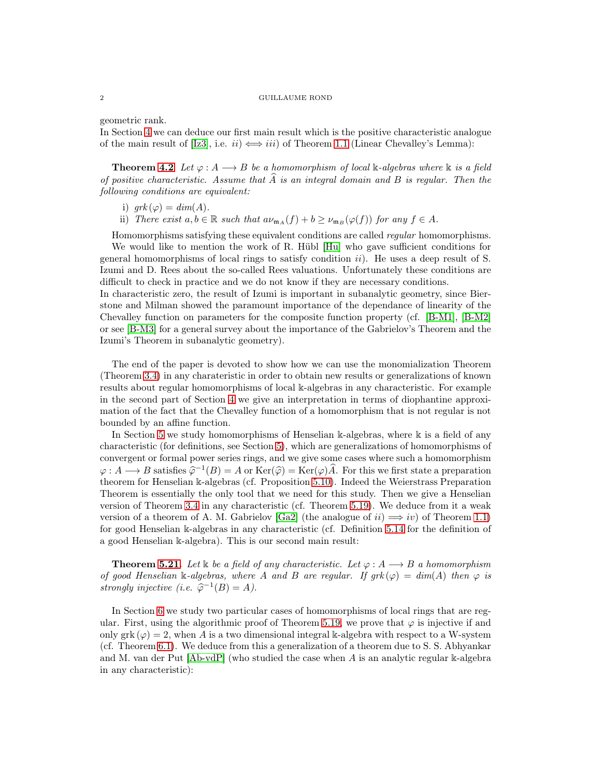geometric rank.

In Section [4](#page-9-0) we can deduce our first main result which is the positive characteristic analogue of the main result of [\[Iz3\]](#page-25-4), i.e.  $ii) \iff iii)$  of Theorem [1.1](#page-0-0) (Linear Chevalley's Lemma):

**Theorem [4.2](#page-10-0)** Let  $\varphi : A \longrightarrow B$  be a homomorphism of local k-algebras where k is a field of positive characteristic. Assume that  $\hat{A}$  is an integral domain and B is regular. Then the following conditions are equivalent:

- i)  $grk(\varphi) = dim(A)$ .
- ii) There exist  $a, b \in \mathbb{R}$  such that  $a\nu_{\mathfrak{m}_A}(f) + b \geq \nu_{\mathfrak{m}_B}(\varphi(f))$  for any  $f \in A$ .

Homomorphisms satisfying these equivalent conditions are called regular homomorphisms.

We would like to mention the work of R. Hübl [\[Hu\]](#page-25-7) who gave sufficient conditions for general homomorphisms of local rings to satisfy condition  $ii$ ). He uses a deep result of S. Izumi and D. Rees about the so-called Rees valuations. Unfortunately these conditions are difficult to check in practice and we do not know if they are necessary conditions.

In characteristic zero, the result of Izumi is important in subanalytic geometry, since Bierstone and Milman showed the paramount importance of the dependance of linearity of the Chevalley function on parameters for the composite function property (cf. [\[B-M1\]](#page-25-8), [\[B-M2\]](#page-25-9) or see [\[B-M3\]](#page-25-10) for a general survey about the importance of the Gabrielov's Theorem and the Izumi's Theorem in subanalytic geometry).

The end of the paper is devoted to show how we can use the monomialization Theorem (Theorem [3.4\)](#page-6-0) in any charateristic in order to obtain new results or generalizations of known results about regular homomorphisms of local k-algebras in any characteristic. For example in the second part of Section [4](#page-9-0) we give an interpretation in terms of diophantine approximation of the fact that the Chevalley function of a homomorphism that is not regular is not bounded by an affine function.

In Section [5](#page-16-0) we study homomorphisms of Henselian k-algebras, where k is a field of any characteristic (for definitions, see Section [5\)](#page-16-0), which are generalizations of homomorphisms of convergent or formal power series rings, and we give some cases where such a homomorphism  $\varphi: A \longrightarrow B$  satisfies  $\widehat{\varphi}^{-1}(B) = A$  or  $\text{Ker}(\widehat{\varphi}) = \text{Ker}(\varphi)\widehat{A}$ . For this we first state a preparation theorem for Henselian k-algebras (cf. Proposition [5.10\)](#page-18-0). Indeed the Weierstrass Preparation Theorem is essentially the only tool that we need for this study. Then we give a Henselian version of Theorem [3.4](#page-6-0) in any characteristic (cf. Theorem [5.19\)](#page-20-0). We deduce from it a weak version of a theorem of A. M. Gabrielov [\[Ga2\]](#page-25-1) (the analogue of  $ii) \implies iv$ ) of Theorem [1.1\)](#page-0-0) for good Henselian k-algebras in any characteristic (cf. Definition [5.14](#page-19-0) for the definition of a good Henselian k-algebra). This is our second main result:

**Theorem [5.21.](#page-21-0)** Let k be a field of any characteristic. Let  $\varphi : A \longrightarrow B$  a homomorphism of good Henselian k-algebras, where A and B are regular. If  $grk(\varphi) = dim(A)$  then  $\varphi$  is strongly injective (i.e.  $\widehat{\varphi}^{-1}(B) = A$ ).

In Section [6](#page-21-1) we study two particular cases of homomorphisms of local rings that are reg-ular. First, using the algorithmic proof of Theorem [5.19,](#page-20-0) we prove that  $\varphi$  is injective if and only grk  $(\varphi) = 2$ , when A is a two dimensional integral k-algebra with respect to a W-system (cf. Theorem [6.1\)](#page-22-0). We deduce from this a generalization of a theorem due to S. S. Abhyankar and M. van der Put [\[Ab-vdP\]](#page-24-0) (who studied the case when A is an analytic regular k-algebra in any characteristic):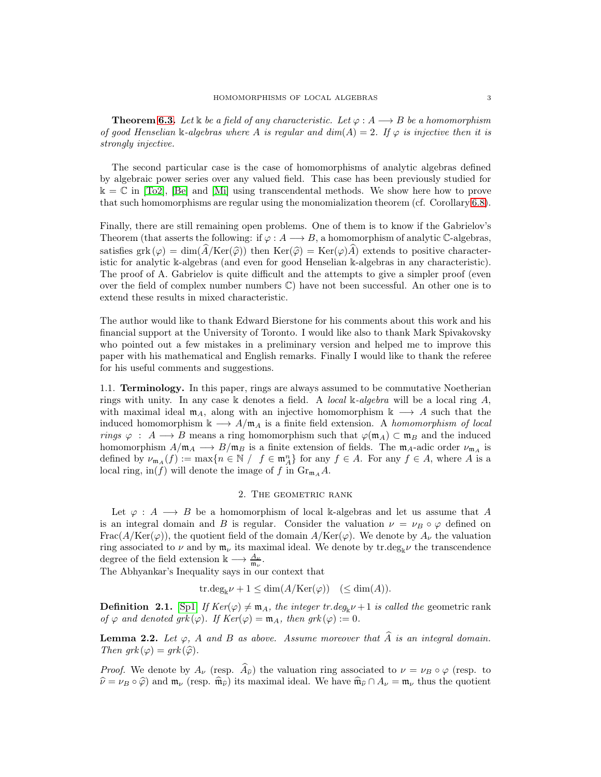**Theorem [6.3.](#page-23-0)** Let  $\&$  be a field of any characteristic. Let  $\varphi : A \longrightarrow B$  be a homomorphism of good Henselian k-algebras where A is regular and  $dim(A) = 2$ . If  $\varphi$  is injective then it is strongly injective.

The second particular case is the case of homomorphisms of analytic algebras defined by algebraic power series over any valued field. This case has been previously studied for  $k = \mathbb{C}$  in [\[To2\]](#page-25-11), [\[Be\]](#page-25-12) and [\[Mi\]](#page-25-2) using transcendental methods. We show here how to prove that such homomorphisms are regular using the monomialization theorem (cf. Corollary [6.8\)](#page-24-1).

Finally, there are still remaining open problems. One of them is to know if the Gabrielov's Theorem (that asserts the following: if  $\varphi : A \longrightarrow B$ , a homomorphism of analytic C-algebras, satisfies grk ( $\varphi$ ) = dim( $\widehat{A}/\text{Ker}(\widehat{\varphi})$ ) then  $\text{Ker}(\widehat{\varphi}) = \text{Ker}(\varphi)\widehat{A}$ ) extends to positive characteristic for analytic k-algebras (and even for good Henselian k-algebras in any characteristic). The proof of A. Gabrielov is quite difficult and the attempts to give a simpler proof (even over the field of complex number numbers  $\mathbb{C}$ ) have not been successful. An other one is to extend these results in mixed characteristic.

The author would like to thank Edward Bierstone for his comments about this work and his financial support at the University of Toronto. I would like also to thank Mark Spivakovsky who pointed out a few mistakes in a preliminary version and helped me to improve this paper with his mathematical and English remarks. Finally I would like to thank the referee for his useful comments and suggestions.

1.1. Terminology. In this paper, rings are always assumed to be commutative Noetherian rings with unity. In any case k denotes a field. A local k-algebra will be a local ring  $A$ , with maximal ideal  $m_A$ , along with an injective homomorphism  $k \longrightarrow A$  such that the induced homomorphism  $\Bbbk \longrightarrow A/\mathfrak{m}_A$  is a finite field extension. A homomorphism of local rings  $\varphi$ : A  $\longrightarrow$  B means a ring homomorphism such that  $\varphi(\mathfrak{m}_A) \subset \mathfrak{m}_B$  and the induced homomorphism  $A/\mathfrak{m}_A \longrightarrow B/\mathfrak{m}_B$  is a finite extension of fields. The  $\mathfrak{m}_A$ -adic order  $\nu_{\mathfrak{m}_A}$  is defined by  $\nu_{m_A}(f) := \max\{n \in \mathbb{N} / f \in \mathfrak{m}_A^n\}$  for any  $f \in A$ . For any  $f \in A$ , where A is a local ring, in(f) will denote the image of f in  $\mathrm{Gr}_{m_A}A$ .

## 2. The geometric rank

<span id="page-2-0"></span>Let  $\varphi : A \longrightarrow B$  be a homomorphism of local k-algebras and let us assume that A is an integral domain and B is regular. Consider the valuation  $\nu = \nu_B \circ \varphi$  defined on  $\text{Frac}(A/\text{Ker}(\varphi))$ , the quotient field of the domain  $A/\text{Ker}(\varphi)$ . We denote by  $A_{\nu}$  the valuation ring associated to  $\nu$  and by  $\mathfrak{m}_{\nu}$  its maximal ideal. We denote by tr.deg<sub>k</sub> $\nu$  the transcendence degree of the field extension  $\mathbb{k} \longrightarrow \frac{A_{\nu}}{\mathfrak{m}_{\nu}}$ .

The Abhyankar's Inequality says in our context that

$$
tr.deg_{\mathbb{k}}\nu + 1 \leq \dim(A/\text{Ker}(\varphi)) \quad (\leq \dim(A)).
$$

**Definition 2.1.** [\[Sp1\]](#page-25-6) If  $Ker(\varphi) \neq m_A$ , the integer tr.deg<sub>k</sub> $\nu + 1$  is called the geometric rank of  $\varphi$  and denoted grk $(\varphi)$ . If  $Ker(\varphi) = \mathfrak{m}_A$ , then grk $(\varphi) := 0$ .

<span id="page-2-1"></span>**Lemma 2.2.** Let  $\varphi$ , A and B as above. Assume moreover that A is an integral domain. Then  $grk(\varphi) = grk(\widehat{\varphi})$ .

*Proof.* We denote by  $A_{\nu}$  (resp.  $\widehat{A}_{\widehat{\nu}}$ ) the valuation ring associated to  $\nu = \nu_B \circ \varphi$  (resp. to  $\hat{\nu} = \nu_B \circ \hat{\varphi}$ ) and  $\mathfrak{m}_{\nu}$  (resp.  $\hat{\mathfrak{m}}_{\hat{\nu}}$ ) its maximal ideal. We have  $\hat{\mathfrak{m}}_{\hat{\nu}} \cap A_{\nu} = \mathfrak{m}_{\nu}$  thus the quotient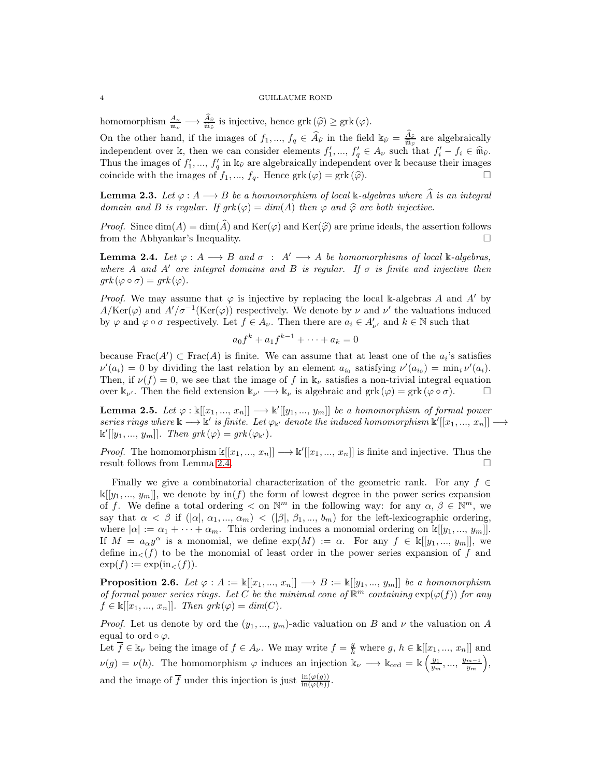homomorphism  $\frac{A_{\nu}}{\mathfrak{m}_{\nu}} \longrightarrow \frac{A_{\hat{\nu}}}{\mathfrak{m}_{\hat{\nu}}}$  is injective, hence  $grk(\hat{\varphi}) \geq grk(\varphi)$ .

On the other hand, if the images of  $f_1, ..., f_q \in \widehat{A}_{\widehat{\nu}}$  in the field  $\Bbbk_{\widehat{\nu}} = \frac{A_{\widehat{\nu}}}{\widehat{\mathfrak{m}}_{\widehat{\nu}}}$  are algebraically independent over k, then we can consider elements  $f'_1, ..., f'_q \in A_\nu$  such that  $f'_i - f_i \in \widehat{\mathfrak{m}}_{\widehat{\nu}}$ . Thus the images of  $f'_1, ..., f'_q$  in  $\Bbbk_{\hat{\nu}}$  are algebraically independent over k because their images coincide with the images of  $f_1, ..., f_q$ . Hence  $grk(\varphi) = grk(\varphi)$ .

<span id="page-3-2"></span>**Lemma 2.3.** Let  $\varphi : A \longrightarrow B$  be a homomorphism of local k-algebras where  $\widehat{A}$  is an integral domain and B is regular. If  $grk(\varphi) = dim(A)$  then  $\varphi$  and  $\widehat{\varphi}$  are both injective.

*Proof.* Since  $\dim(A) = \dim(\widehat{A})$  and  $\text{Ker}(\varphi)$  and  $\text{Ker}(\widehat{\varphi})$  are prime ideals, the assertion follows from the Abhyankar's Inequality.

<span id="page-3-0"></span>**Lemma 2.4.** Let  $\varphi : A \longrightarrow B$  and  $\sigma : A' \longrightarrow A$  be homomorphisms of local k-algebras, where A and A' are integral domains and B is regular. If  $\sigma$  is finite and injective then  $grk(\varphi \circ \sigma) = grk(\varphi).$ 

*Proof.* We may assume that  $\varphi$  is injective by replacing the local k-algebras A and A' by  $A/\text{Ker}(\varphi)$  and  $A'/\sigma^{-1}(\text{Ker}(\varphi))$  respectively. We denote by  $\nu$  and  $\nu'$  the valuations induced by  $\varphi$  and  $\varphi \circ \sigma$  respectively. Let  $f \in A_{\nu}$ . Then there are  $a_i \in A'_{\nu'}$  and  $k \in \mathbb{N}$  such that

$$
a_0 f^k + a_1 f^{k-1} + \dots + a_k = 0
$$

because  $\text{Frac}(A') \subset \text{Frac}(A)$  is finite. We can assume that at least one of the  $a_i$ 's satisfies  $\nu'(a_i) = 0$  by dividing the last relation by an element  $a_{i_0}$  satisfying  $\nu'(a_{i_0}) = \min_i \nu'(a_i)$ . Then, if  $\nu(f) = 0$ , we see that the image of f in  $\mathbb{k}_{\nu}$  satisfies a non-trivial integral equation over  $\Bbbk_{\nu'}$ . Then the field extension  $\Bbbk_{\nu'} \longrightarrow \Bbbk_{\nu}$  is algebraic and grk  $(\varphi) = \text{grk} (\varphi \circ \sigma)$ .

<span id="page-3-3"></span>**Lemma 2.5.** Let  $\varphi : \mathbb{k}[[x_1, ..., x_n]] \longrightarrow \mathbb{k}[[y_1, ..., y_m]]$  be a homomorphism of formal power series rings where  $\Bbbk \longrightarrow \Bbbk'$  is finite. Let  $\varphi_{\Bbbk'}$  denote the induced homomorphism  $\Bbbk'[[x_1, ..., x_n]] \longrightarrow$  $\mathbb{k}^{\prime}[[y_1, ..., y_m]]$ . Then  $grk(\varphi) = grk(\varphi_{\mathbb{k}^{\prime}})$ .

*Proof.* The homomorphism  $\mathbb{k}[[x_1, ..., x_n]] \longrightarrow \mathbb{k}[[x_1, ..., x_n]]$  is finite and injective. Thus the result follows from Lemma [2.4.](#page-3-0)

Finally we give a combinatorial characterization of the geometric rank. For any  $f \in$  $\mathbb{K}[[y_1, ..., y_m]],$  we denote by  $\text{in}(f)$  the form of lowest degree in the power series expansion of f. We define a total ordering  $\lt$  on  $\mathbb{N}^m$  in the following way: for any  $\alpha, \beta \in \mathbb{N}^m$ , we say that  $\alpha < \beta$  if  $(|\alpha|, \alpha_1, ..., \alpha_m) < (|\beta|, \beta_1, ..., b_m)$  for the left-lexicographic ordering, where  $|\alpha| := \alpha_1 + \cdots + \alpha_m$ . This ordering induces a monomial ordering on  $\kappa[[y_1, ..., y_m]]$ . If  $M = a_{\alpha}y^{\alpha}$  is a monomial, we define  $exp(M) := \alpha$ . For any  $f \in \mathbb{k}[[y_1, ..., y_m]],$  we define  $\text{in}_{<} (f)$  to be the monomial of least order in the power series expansion of f and  $\exp(f) := \exp(\text{in}_{\leq}(f)).$ 

<span id="page-3-1"></span>**Proposition 2.6.** Let  $\varphi : A := \mathbb{k}[[x_1, ..., x_n]] \longrightarrow B := \mathbb{k}[[y_1, ..., y_m]]$  be a homomorphism of formal power series rings. Let C be the minimal cone of  $\mathbb{R}^m$  containing  $\exp(\varphi(f))$  for any  $f \in \mathbb{k}[[x_1, ..., x_n]]$ . Then  $grk(\varphi) = dim(C)$ .

*Proof.* Let us denote by ord the  $(y_1, ..., y_m)$ -adic valuation on B and  $\nu$  the valuation on A equal to ord  $\circ \varphi$ .

Let  $\overline{f} \in \mathbb{k}_{\nu}$  being the image of  $f \in A_{\nu}$ . We may write  $f = \frac{g}{h}$  where  $g, h \in \mathbb{k}[[x_1, ..., x_n]]$  and  $\nu(g) = \nu(h)$ . The homomorphism  $\varphi$  induces an injection  $\mathbb{k}_{\nu} \longrightarrow \mathbb{k}_{\text{ord}} = \mathbb{k} \left( \frac{y_1}{y_m}, ..., \frac{y_{m-1}}{y_m} \right)$  $y_m$  , and the image of  $\overline{f}$  under this injection is just  $\frac{\text{in}(\varphi(g))}{\text{in}(\varphi(h))}$ .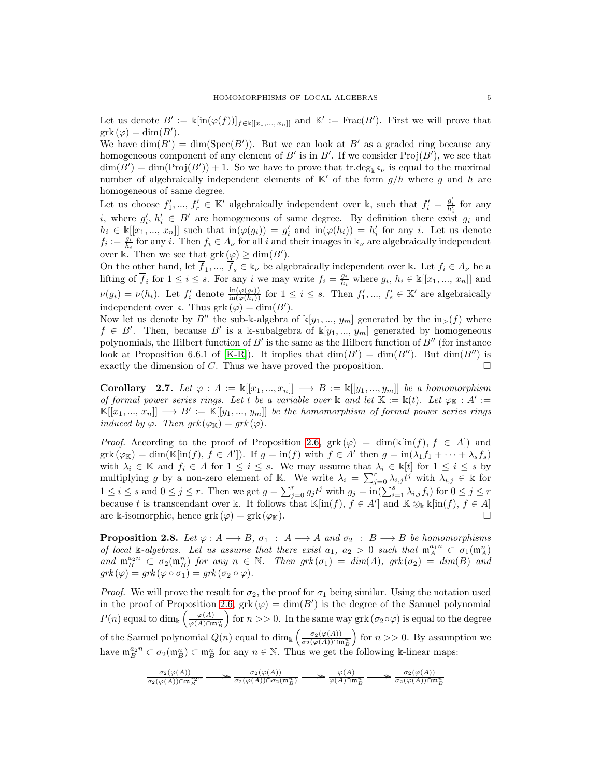Let us denote  $B' := \Bbbk[\text{in}(\varphi(f))]_{f \in \Bbbk[[x_1, ..., x_n]]}$  and  $\Bbbk' := \text{Frac}(B')$ . First we will prove that  $grk(\varphi) = \dim(B').$ 

We have  $\dim(B') = \dim(\text{Spec}(B'))$ . But we can look at B' as a graded ring because any homogeneous component of any element of B' is in B'. If we consider  $\text{Proj}(B')$ , we see that  $\dim(B') = \dim(\text{Proj}(B')) + 1$ . So we have to prove that  $\text{tr.deg}_{\mathbb{k}}\mathbb{k}_{\nu}$  is equal to the maximal number of algebraically independent elements of  $K'$  of the form  $g/h$  where g and h are homogeneous of same degree.

Let us choose  $f'_1, ..., f'_r \in \mathbb{K}'$  algebraically independent over k, such that  $f'_i = \frac{g'_i}{h'_i}$  for any i, where  $g'_i, h'_i \in B'$  are homogeneous of same degree. By definition there exist  $g_i$  and  $h_i \in \mathbb{k}[[x_1, ..., x_n]]$  such that  $\text{in}(\varphi(g_i)) = g'_i$  and  $\text{in}(\varphi(h_i)) = h'_i$  for any i. Let us denote  $f_i := \frac{g_i}{h_i}$  for any i. Then  $f_i \in A_{\nu}$  for all i and their images in  $\mathbb{k}_{\nu}$  are algebraically independent over k. Then we see that  $grk(\varphi) \geq \dim(B')$ .

On the other hand, let  $\overline{f}_1, ..., \overline{f}_s \in \mathbb{k}_{\nu}$  be algebraically independent over k. Let  $f_i \in A_{\nu}$  be a lifting of  $\overline{f}_i$  for  $1 \leq i \leq s$ . For any i we may write  $f_i = \frac{g_i}{h_i}$  where  $g_i, h_i \in \mathbb{k}[[x_1, ..., x_n]]$  and  $\nu(g_i) = \nu(h_i)$ . Let  $f'_i$  denote  $\frac{\text{in}(\varphi(g_i))}{\text{in}(\varphi(h_i))}$  for  $1 \leq i \leq s$ . Then  $f'_1, ..., f'_s \in \mathbb{K}'$  are algebraically independent over k. Thus  $grk(\varphi) = \dim(B')$ .

Now let us denote by B'' the sub-k-algebra of  $\mathbb{K}[y_1, ..., y_m]$  generated by the  $\text{in}_{>}(f)$  where  $f \in B'$ . Then, because B' is a k-subalgebra of  $\mathbb{K}[y_1, ..., y_m]$  generated by homogeneous polynomials, the Hilbert function of  $B'$  is the same as the Hilbert function of  $B''$  (for instance look at Proposition 6.6.1 of [\[K-R\]](#page-25-13)). It implies that  $\dim(B') = \dim(B'')$ . But  $\dim(B'')$  is exactly the dimension of C. Thus we have proved the proposition.  $\Box$ 

<span id="page-4-1"></span>Corollary 2.7. Let  $\varphi : A := \mathbb{k}[[x_1, ..., x_n]] \longrightarrow B := \mathbb{k}[[y_1, ..., y_m]]$  be a homomorphism of formal power series rings. Let t be a variable over  $\Bbbk$  and let  $\Bbbk := \Bbbk(t)$ . Let  $\varphi_{\Bbbk} : A' :=$  $\mathbb{K}[[x_1, ..., x_n]] \longrightarrow B' := \mathbb{K}[[y_1, ..., y_m]]$  be the homomorphism of formal power series rings induced by  $\varphi$ . Then  $grk(\varphi_{\mathbb{K}}) = grk(\varphi)$ .

*Proof.* According to the proof of Proposition [2.6,](#page-3-1)  $grk(\varphi) = \dim(\kappa[\inf f], f \in A]$  and  $grk(\varphi_{\mathbb{K}}) = \dim(\mathbb{K}[\text{in}(f), f \in A'])$ . If  $g = \text{in}(f)$  with  $f \in A'$  then  $g = \text{in}(\lambda_1 f_1 + \cdots + \lambda_s f_s)$ with  $\lambda_i \in \mathbb{K}$  and  $f_i \in A$  for  $1 \leq i \leq s$ . We may assume that  $\lambda_i \in \mathbb{K}[t]$  for  $1 \leq i \leq s$  by multiplying g by a non-zero element of K. We write  $\lambda_i = \sum_{j=0}^r \lambda_{i,j} t^j$  with  $\lambda_{i,j} \in \mathbb{k}$  for  $1 \leq i \leq s$  and  $0 \leq j \leq r$ . Then we get  $g = \sum_{j=0}^r g_j t^j$  with  $g_j = \text{in}(\sum_{i=1}^s \lambda_{i,j} f_i)$  for  $0 \leq j \leq r$ because t is transcendant over k. It follows that  $\mathbb{K}[\text{in}(f), f \in A']$  and  $\mathbb{K} \otimes_{\mathbb{K}} \mathbb{K}[\text{in}(f), f \in A]$ are k-isomorphic, hence grk  $(\varphi) = \text{grk}(\varphi_K)$ .

<span id="page-4-0"></span>**Proposition 2.8.** Let  $\varphi : A \longrightarrow B$ ,  $\sigma_1 : A \longrightarrow A$  and  $\sigma_2 : B \longrightarrow B$  be homomorphisms of local k-algebras. Let us assume that there exist  $a_1, a_2 > 0$  such that  $\mathfrak{m}_A^{a_1 n} \subset \sigma_1(\mathfrak{m}_A^n)$ and  $\mathfrak{m}_B^{a_2n} \subset \sigma_2(\mathfrak{m}_B^n)$  for any  $n \in \mathbb{N}$ . Then  $grk(\sigma_1) = dim(A), grk(\sigma_2) = dim(B)$  and  $grk(\varphi) = grk(\varphi \circ \sigma_1) = grk(\sigma_2 \circ \varphi).$ 

*Proof.* We will prove the result for  $\sigma_2$ , the proof for  $\sigma_1$  being similar. Using the notation used in the proof of Proposition [2.6,](#page-3-1)  $grk(\varphi) = \dim(B')$  is the degree of the Samuel polynomial P(n) equal to dim<sub>k</sub>  $\left(\frac{\varphi(A)}{\varphi(A)\cap\mathfrak{m}_B^n}\right)$ for  $n >> 0$ . In the same way grk ( $\sigma_2 \circ \varphi$ ) is equal to the degree of the Samuel polynomial  $Q(n)$  equal to  $\dim_{\mathbb{k}} \left( \frac{\sigma_2(\varphi(A))}{\sigma_2(\varphi(A)) \cap \mathfrak{m}_B^n} \right)$ for  $n >> 0$ . By assumption we have  $\mathfrak{m}_B^{a_2 n} \subset \sigma_2(\mathfrak{m}_B^n) \subset \mathfrak{m}_B^n$  for any  $n \in \mathbb{N}$ . Thus we get the following k-linear maps:

$$
\tfrac{\sigma_2(\varphi(A))}{\sigma_2(\varphi(A))\cap\mathfrak{m}_B^{\,2n}}\longrightarrow \tfrac{\sigma_2(\varphi(A))}{\sigma_2(\varphi(A))\cap\sigma_2(\mathfrak{m}_B^n)}\longrightarrow \tfrac{\varphi(A)}{\varphi(A)\cap\mathfrak{m}_B^n}\longrightarrow \tfrac{\sigma_2(\varphi(A))}{\sigma_2(\varphi(A))\cap\mathfrak{m}_B^n}
$$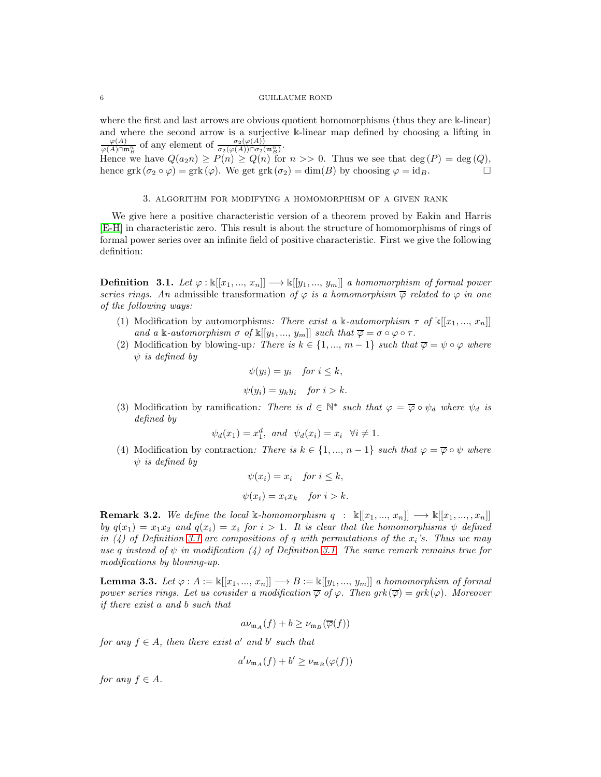where the first and last arrows are obvious quotient homomorphisms (thus they are k-linear) and where the second arrow is a surjective k-linear map defined by choosing a lifting in  $\frac{\varphi(A)}{\varphi(A)\cap\mathfrak{m}_B^n}$  of any element of  $\frac{\sigma_2(\varphi(A))}{\sigma_2(\varphi(A))\cap\sigma_2(\mathfrak{m}_B^n)}$ .

Hence we have  $Q(a_2n) \ge P(n) \ge Q(n)$  for  $n >> 0$ . Thus we see that  $\deg(P) = \deg(Q)$ , hence grk  $(\sigma_2 \circ \varphi) =$  grk  $(\varphi)$ . We get grk  $(\sigma_2) = \dim(B)$  by choosing  $\varphi = id_B$ .

### 3. algorithm for modifying a homomorphism of a given rank

<span id="page-5-0"></span>We give here a positive characteristic version of a theorem proved by Eakin and Harris [\[E-H\]](#page-25-0) in characteristic zero. This result is about the structure of homomorphisms of rings of formal power series over an infinite field of positive characteristic. First we give the following definition:

<span id="page-5-1"></span>**Definition 3.1.** Let  $\varphi : \mathbb{k}[[x_1, ..., x_n]] \longrightarrow \mathbb{k}[[y_1, ..., y_m]]$  a homomorphism of formal power series rings. An admissible transformation of  $\varphi$  is a homomorphism  $\overline{\varphi}$  related to  $\varphi$  in one of the following ways:

- (1) Modification by automorphisms: There exist a k-automorphism  $\tau$  of  $\mathbb{K}[[x_1, ..., x_n]]$ and a k-automorphism  $\sigma$  of  $\mathbb{K}[[y_1, ..., y_m]]$  such that  $\overline{\varphi} = \sigma \circ \varphi \circ \tau$ .
- (2) Modification by blowing-up: There is  $k \in \{1, ..., m-1\}$  such that  $\overline{\varphi} = \psi \circ \varphi$  where  $\psi$  is defined by

$$
\psi(y_i) = y_i \quad \text{for } i \leq k,
$$
  

$$
\psi(y_i) = y_k y_i \quad \text{for } i > k.
$$

(3) Modification by ramification: There is  $d \in \mathbb{N}^*$  such that  $\varphi = \overline{\varphi} \circ \psi_d$  where  $\psi_d$  is defined by

 $\psi_d(x_1) = x_1^d$ , and  $\psi_d(x_i) = x_i$   $\forall i \neq 1$ .

(4) Modification by contraction: There is  $k \in \{1, ..., n-1\}$  such that  $\varphi = \overline{\varphi} \circ \psi$  where  $\psi$  is defined by

$$
\psi(x_i) = x_i \quad \text{for } i \leq k,
$$
  

$$
\psi(x_i) = x_i x_k \quad \text{for } i > k.
$$

**Remark 3.2.** We define the local k-homomorphism  $q : \mathbb{K}[[x_1, ..., x_n]] \longrightarrow \mathbb{K}[[x_1, ..., x_n]]$ by  $q(x_1) = x_1x_2$  and  $q(x_i) = x_i$  for  $i > 1$ . It is clear that the homomorphisms  $\psi$  defined in (4) of Definition [3.1](#page-5-1) are compositions of q with permutations of the  $x_i$ 's. Thus we may use q instead of  $\psi$  in modification (4) of Definition [3.1.](#page-5-1) The same remark remains true for modifications by blowing-up.

<span id="page-5-2"></span>**Lemma 3.3.** Let  $\varphi : A := \Bbbk[[x_1, ..., x_n]] \longrightarrow B := \Bbbk[[y_1, ..., y_m]]$  a homomorphism of formal power series rings. Let us consider a modification  $\overline{\varphi}$  of  $\varphi$ . Then grk $(\overline{\varphi}) = grk(\varphi)$ . Moreover if there exist a and b such that

$$
a\nu_{\mathfrak{m}_A}(f) + b \ge \nu_{\mathfrak{m}_B}(\overline{\varphi}(f))
$$

for any  $f \in A$ , then there exist a' and b' such that

$$
a'\nu_{\mathfrak{m}_A}(f) + b' \ge \nu_{\mathfrak{m}_B}(\varphi(f))
$$

for any  $f \in A$ .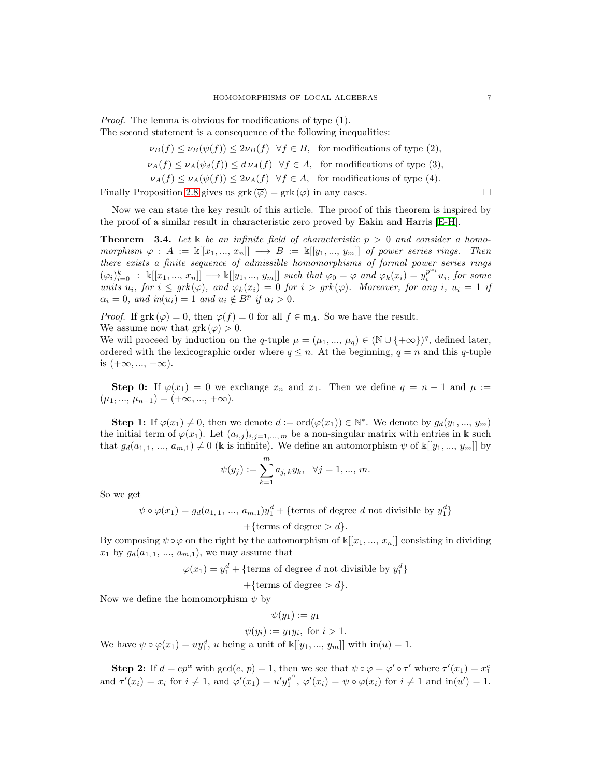Proof. The lemma is obvious for modifications of type (1). The second statement is a consequence of the following inequalities:

- $\nu_B(f) \leq \nu_B(\psi(f)) \leq 2\nu_B(f)$   $\forall f \in B$ , for modifications of type (2),
- $\nu_A(f) \leq \nu_A(\psi_d(f)) \leq d \nu_A(f) \ \ \forall f \in A$ , for modifications of type (3),

 $\nu_A(f) \leq \nu_A(\psi(f)) \leq 2\nu_A(f)$   $\forall f \in A$ , for modifications of type (4). Finally Proposition [2.8](#page-4-0) gives us grk  $(\overline{\varphi}) = \text{grk}(\varphi)$  in any cases.

Now we can state the key result of this article. The proof of this theorem is inspired by the proof of a similar result in characteristic zero proved by Eakin and Harris [\[E-H\]](#page-25-0).

<span id="page-6-0"></span>**Theorem** 3.4. Let k be an infinite field of characteristic  $p > 0$  and consider a homomorphism  $\varphi : A := \mathbb{k}[[x_1, ..., x_n]] \longrightarrow B := \mathbb{k}[[y_1, ..., y_m]]$  of power series rings. Then there exists a finite sequence of admissible homomorphisms of formal power series rings  $(\varphi_i)_{i=0}^k : \ \mathbb{K}[[x_1, ..., x_n]] \longrightarrow \mathbb{K}[[y_1, ..., y_m]]$  such that  $\varphi_0 = \varphi$  and  $\varphi_k(x_i) = y_i^{p^{\alpha_i}} u_i$ , for some units  $u_i$ , for  $i \leq grk(\varphi)$ , and  $\varphi_k(x_i) = 0$  for  $i > grk(\varphi)$ . Moreover, for any i,  $u_i = 1$  if  $\alpha_i = 0$ , and  $in(u_i) = 1$  and  $u_i \notin B^p$  if  $\alpha_i > 0$ .

*Proof.* If  $grk(\varphi) = 0$ , then  $\varphi(f) = 0$  for all  $f \in \mathfrak{m}_A$ . So we have the result. We assume now that  $grk(\varphi) > 0$ .

We will proceed by induction on the q-tuple  $\mu = (\mu_1, ..., \mu_q) \in (\mathbb{N} \cup \{+\infty\})^q$ , defined later, ordered with the lexicographic order where  $q \leq n$ . At the beginning,  $q = n$  and this q-tuple is  $(+\infty, ..., +\infty)$ .

Step 0: If  $\varphi(x_1) = 0$  we exchange  $x_n$  and  $x_1$ . Then we define  $q = n - 1$  and  $\mu :=$  $(\mu_1, ..., \mu_{n-1}) = (+\infty, ..., +\infty).$ 

**Step 1:** If  $\varphi(x_1) \neq 0$ , then we denote  $d := \text{ord}(\varphi(x_1)) \in \mathbb{N}^*$ . We denote by  $g_d(y_1, ..., y_m)$ the initial term of  $\varphi(x_1)$ . Let  $(a_{i,j})_{i,j=1,\ldots,m}$  be a non-singular matrix with entries in k such that  $g_d(a_{1,1}, ..., a_{m,1}) \neq 0$  (k is infinite). We define an automorphism  $\psi$  of  $\mathbb{K}[[y_1, ..., y_m]]$  by

$$
\psi(y_j) := \sum_{k=1}^m a_{j,k} y_k, \quad \forall j = 1, ..., m.
$$

So we get

 $\psi \circ \varphi(x_1) = g_d(a_{1,1}, ..., a_{m,1})y_1^d + \{\text{terms of degree } d \text{ not divisible by } y_1^d\}$ +{terms of degree  $> d$  }.

By composing  $\psi \circ \varphi$  on the right by the automorphism of  $\mathbb{k}[[x_1, ..., x_n]]$  consisting in dividing  $x_1$  by  $g_d(a_{1,1}, ..., a_{m,1})$ , we may assume that

 $\varphi(x_1) = y_1^d + \{$ terms of degree d not divisible by  $y_1^d\}$ 

+{terms of degree >  $d$ }.

Now we define the homomorphism  $\psi$  by

 $\psi(y_1) := y_1$ 

 $\psi(y_i) := y_1 y_i, \text{ for } i > 1.$ 

We have  $\psi \circ \varphi(x_1) = uy_1^d$ , u being a unit of  $\mathbb{k}[[y_1, ..., y_m]]$  with  $\text{in}(u) = 1$ .

**Step 2:** If  $d = ep^{\alpha}$  with  $gcd(e, p) = 1$ , then we see that  $\psi \circ \varphi = \varphi' \circ \tau'$  where  $\tau'(x_1) = x_1^e$ and  $\tau'(x_i) = x_i$  for  $i \neq 1$ , and  $\varphi'(x_1) = u'y_1^{p^{\alpha}}$  $\int_{1}^{p} \varphi'(x_i) = \psi \circ \varphi(x_i)$  for  $i \neq 1$  and  $\operatorname{in}(u') = 1$ .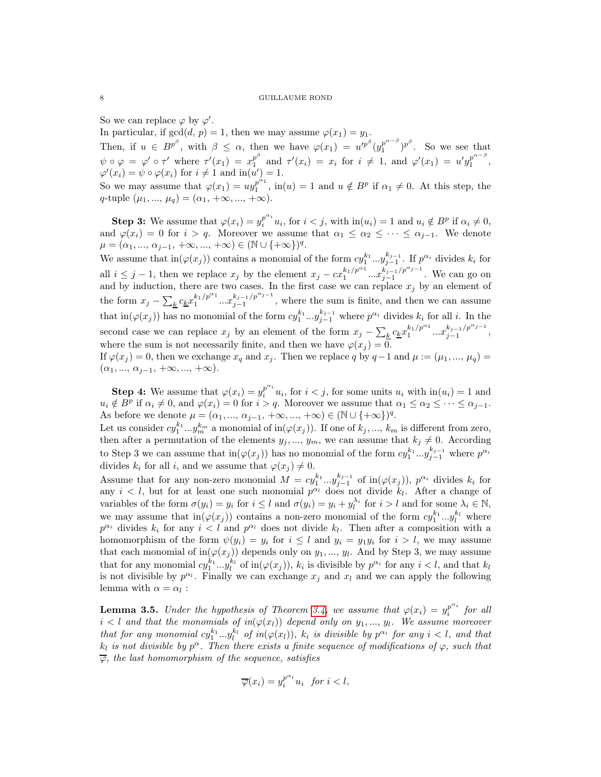So we can replace  $\varphi$  by  $\varphi'$ .

In particular, if  $gcd(d, p) = 1$ , then we may assume  $\varphi(x_1) = y_1$ .

Then, if  $u \in B^{p^{\beta}}$ , with  $\beta \leq \alpha$ , then we have  $\varphi(x_1) = u'^{p^{\beta}}(y_1^{p^{\alpha-\beta}})$  $\binom{p^{\alpha-\beta}}{1}$  <sup>p<sup> $\beta$ </sup>. So we see that</sup>  $\psi \circ \varphi = \varphi' \circ \tau'$  where  $\tau'(x_1) = x_1^{p^{\beta}}$  $p^{\beta}$  and  $\tau'(x_i) = x_i$  for  $i \neq 1$ , and  $\varphi'(x_1) = u'y_1^{p^{\alpha-\beta}}$  $\begin{array}{cc} p \\ 1 \end{array}$ ,  $\varphi'(x_i) = \psi \circ \varphi(x_i)$  for  $i \neq 1$  and  $\text{in}(u') = 1$ . So we may assume that  $\varphi(x_1) = uy_1^{p^{\alpha_1}}$  $\int_{1}^{p^{n_1}}$ , in(u) = 1 and  $u \notin B^p$  if  $\alpha_1 \neq 0$ . At this step, the q-tuple  $(\mu_1, ..., \mu_q) = (\alpha_1, +\infty, ..., +\infty).$ 

**Step 3:** We assume that  $\varphi(x_i) = y_i^{p^{\alpha_i}} u_i$ , for  $i < j$ , with  $\text{in}(u_i) = 1$  and  $u_i \notin B^p$  if  $\alpha_i \neq 0$ , and  $\varphi(x_i) = 0$  for  $i > q$ . Moreover we assume that  $\alpha_1 \leq \alpha_2 \leq \cdots \leq \alpha_{i-1}$ . We denote  $\mu = (\alpha_1, ..., \alpha_{j-1}, +\infty, ..., +\infty) \in (\mathbb{N} \cup \{+\infty\})^q$ .

We assume that  $\text{in}(\varphi(x_j))$  contains a monomial of the form  $cy_1^{k_1}...y_{j-1}^{k_{j-1}}$ . If  $p^{\alpha_i}$  divides  $k_i$  for all  $i \leq j-1$ , then we replace  $x_j$  by the element  $x_j - cx_1^{k_1/p^{\alpha_1}}...x_{j-1}^{k_{j-1}/p^{\alpha_{j-1}}}$ . We can go on and by induction, there are two cases. In the first case we can replace  $x_j$  by an element of the form  $x_j - \sum_k c_k x_1^{k_1/p^{\alpha_1}} ... x_{j-1}^{k_{j-1}/p^{\alpha_{j-1}}},$  where the sum is finite, and then we can assume that  $\text{in}(\varphi(x_j))$  has no monomial of the form  $cy_1^{k_1}...y_{j-1}^{k_{j-1}}$  where  $p^{\alpha_i}$  divides  $k_i$  for all i. In the second case we can replace  $x_j$  by an element of the form  $x_j - \sum_k c_k x_1^{k_1/p^{\alpha_1}} ... x_{j-1}^{k_{j-1}/p^{\alpha_{j-1}}},$ where the sum is not necessarily finite, and then we have  $\varphi(x_j) = 0$ .

If  $\varphi(x_j) = 0$ , then we exchange  $x_q$  and  $x_j$ . Then we replace q by  $q-1$  and  $\mu := (\mu_1, ..., \mu_q) =$  $(\alpha_1, ..., \alpha_{j-1}, +\infty, ..., +\infty).$ 

**Step 4:** We assume that  $\varphi(x_i) = y_i^{p^{\alpha_i}} u_i$ , for  $i < j$ , for some units  $u_i$  with  $\text{in}(u_i) = 1$  and  $u_i \notin B^p$  if  $\alpha_i \neq 0$ , and  $\varphi(x_i) = 0$  for  $i > q$ . Moreover we assume that  $\alpha_1 \leq \alpha_2 \leq \cdots \leq \alpha_{j-1}$ . As before we denote  $\mu = (\alpha_1, ..., \alpha_{j-1}, +\infty, ..., +\infty) \in (\mathbb{N} \cup \{+\infty\})^q$ .

Let us consider  $cy_1^{k_1}...y_m^{k_m}$  a monomial of in $(\varphi(x_j))$ . If one of  $k_j, ..., k_m$  is different from zero, then after a permutation of the elements  $y_j, ..., y_m$ , we can assume that  $k_j \neq 0$ . According to Step 3 we can assume that  $\text{in}(\varphi(x_j))$  has no monomial of the form  $cy_1^{k_1}...y_{j-1}^{k_{j-1}}$  where  $p^{\alpha_i}$ divides  $k_i$  for all i, and we assume that  $\varphi(x_i) \neq 0$ .

Assume that for any non-zero monomial  $M = cy_1^{k_1}...y_{j-1}^{k_{j-1}}$  of  $\text{in}(\varphi(x_j))$ ,  $p^{\alpha_i}$  divides  $k_i$  for any  $i < l$ , but for at least one such monomial  $p^{\alpha_l}$  does not divide  $k_l$ . After a change of variables of the form  $\sigma(y_i) = y_i$  for  $i \leq l$  and  $\sigma(y_i) = y_i + y_i^{\lambda_i}$  for  $i > l$  and for some  $\lambda_i \in \mathbb{N}$ , we may assume that  $\text{in}(\varphi(x_j))$  contains a non-zero monomial of the form  $cy_1^{k_1}...y_l^{k_l}$  where  $p^{\alpha_i}$  divides  $k_i$  for any  $i < l$  and  $p^{\alpha_l}$  does not divide  $k_l$ . Then after a composition with a homomorphism of the form  $\psi(y_i) = y_i$  for  $i \leq l$  and  $y_i = y_1 y_i$  for  $i > l$ , we may assume that each monomial of  $\text{in}(\varphi(x_j))$  depends only on  $y_1, ..., y_l$ . And by Step 3, we may assume that for any monomial  $cy_1^{k_1}...y_l^{k_l}$  of  $\text{in}(\varphi(x_j))$ ,  $k_i$  is divisible by  $p^{\alpha_i}$  for any  $i < l$ , and that  $k_l$ is not divisible by  $p^{\alpha_l}$ . Finally we can exchange  $x_j$  and  $x_l$  and we can apply the following lemma with  $\alpha = \alpha_l$ :

<span id="page-7-0"></span>**Lemma 3.5.** Under the hypothesis of Theorem [3.4,](#page-6-0) we assume that  $\varphi(x_i) = y_i^{p^{\alpha_i}}$  $\int_i^{p-i}$  for all  $i < l$  and that the monomials of  $in(\varphi(x_l))$  depend only on  $y_1, ..., y_l$ . We assume moreover that for any monomial  $cy_1^{k_1}...y_l^{k_l}$  of  $in(\varphi(x_l))$ ,  $k_i$  is divisible by  $p^{\alpha_i}$  for any  $i < l$ , and that  $k_l$  is not divisible by  $p^{\alpha}$ . Then there exists a finite sequence of modifications of  $\varphi$ , such that  $\overline{\varphi}$ , the last homomorphism of the sequence, satisfies

$$
\overline{\varphi}(x_i) = y_i^{p^{\alpha_i}} u_i \text{ for } i < l,
$$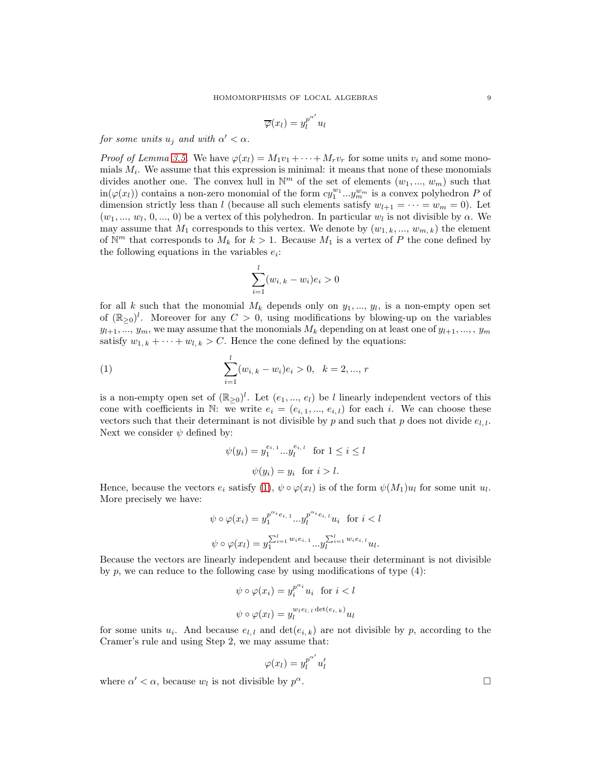$$
\overline{\varphi}(x_l) = y_l^{p^{\alpha'}} u_l
$$

for some units  $u_j$  and with  $\alpha' < \alpha$ .

*Proof of Lemma [3.5.](#page-7-0)* We have  $\varphi(x_l) = M_1v_1 + \cdots + M_rv_r$  for some units  $v_i$  and some monomials  $M_i$ . We assume that this expression is minimal: it means that none of these monomials divides another one. The convex hull in  $\mathbb{N}^m$  of the set of elements  $(w_1, ..., w_m)$  such that  $\text{in}(\varphi(x_l))$  contains a non-zero monomial of the form  $cy_1^{w_1}...y_m^{w_m}$  is a convex polyhedron P of dimension strictly less than l (because all such elements satisfy  $w_{l+1} = \cdots = w_m = 0$ ). Let  $(w_1, ..., w_l, 0, ..., 0)$  be a vertex of this polyhedron. In particular  $w_l$  is not divisible by  $\alpha$ . We may assume that  $M_1$  corresponds to this vertex. We denote by  $(w_{1,k},..., w_{m,k})$  the element of  $\mathbb{N}^m$  that corresponds to  $M_k$  for  $k > 1$ . Because  $M_1$  is a vertex of P the cone defined by the following equations in the variables  $e_i$ :

$$
\sum_{i=1}^{l} (w_{i,k} - w_i) e_i > 0
$$

for all k such that the monomial  $M_k$  depends only on  $y_1, ..., y_l$ , is a non-empty open set of  $(\mathbb{R}_{\geq 0})^l$ . Moreover for any  $C > 0$ , using modifications by blowing-up on the variables  $y_{l+1},..., y_m$ , we may assume that the monomials  $M_k$  depending on at least one of  $y_{l+1},..., y_m$ satisfy  $w_{1,k} + \cdots + w_{l,k} > C$ . Hence the cone defined by the equations:

(1) 
$$
\sum_{i=1}^{l} (w_{i,k} - w_i)e_i > 0, \quad k = 2, ..., r
$$

is a non-empty open set of  $(\mathbb{R}_{\geq 0})^l$ . Let  $(e_1, ..., e_l)$  be l linearly independent vectors of this cone with coefficients in N: we write  $e_i = (e_{i,1},...,e_{i,l})$  for each i. We can choose these vectors such that their determinant is not divisible by p and such that p does not divide  $e_{l,l}$ . Next we consider  $\psi$  defined by:

<span id="page-8-0"></span>
$$
\psi(y_i) = y_1^{e_{i,1}} \dots y_l^{e_{i,l}} \quad \text{for } 1 \le i \le l
$$

$$
\psi(y_i) = y_i \quad \text{for } i > l.
$$

Hence, because the vectors  $e_i$  satisfy  $(1)$ ,  $\psi \circ \varphi(x_l)$  is of the form  $\psi(M_1)u_l$  for some unit  $u_l$ . More precisely we have:

$$
\psi \circ \varphi(x_i) = y_1^{p^{\alpha_{i_{e_{i,1}}}} \cdots y_l^{p^{\alpha_{i_{e_{i,l}}}} u_i} \text{ for } i < l
$$
\n
$$
\psi \circ \varphi(x_l) = y_1^{\sum_{i=1}^{l} w_i e_{i,1}} \cdots y_l^{\sum_{i=1}^{l} w_i e_{i,l}} u_l.
$$

Because the vectors are linearly independent and because their determinant is not divisible by  $p$ , we can reduce to the following case by using modifications of type  $(4)$ :

$$
\psi \circ \varphi(x_i) = y_i^{p^{\alpha_i}} u_i \text{ for } i < l
$$

$$
\psi \circ \varphi(x_l) = y_l^{w_l e_{l,l} \det(e_{i,k})} u_l
$$

for some units  $u_i$ . And because  $e_{l,i}$  and  $\det(e_{i,k})$  are not divisible by p, according to the Cramer's rule and using Step 2, we may assume that:

$$
\varphi(x_l) = y_l^{p^{\alpha'}} u'_l
$$

where  $\alpha' < \alpha$ , because  $w_l$  is not divisible by p

 $\alpha$ .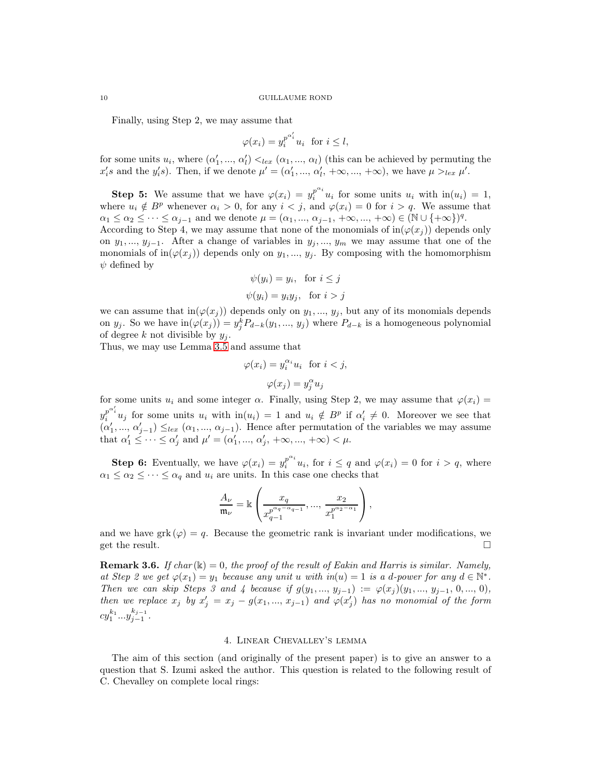Finally, using Step 2, we may assume that

$$
\varphi(x_i) = y_i^{p^{\alpha'_i}} u_i \text{ for } i \le l,
$$

for some units  $u_i$ , where  $(\alpha'_1, ..., \alpha'_l) <_{lex} (\alpha_1, ..., \alpha_l)$  (this can be achieved by permuting the  $x_i$ 's and the  $y_i$ 's). Then, if we denote  $\mu' = (\alpha'_1, ..., \alpha'_l, +\infty, ..., +\infty)$ , we have  $\mu >_{lex} \mu'$ .

**Step 5:** We assume that we have  $\varphi(x_i) = y_i^{p^{\alpha_i}} u_i$  for some units  $u_i$  with  $\text{in}(u_i) = 1$ , where  $u_i \notin B^p$  whenever  $\alpha_i > 0$ , for any  $i < j$ , and  $\varphi(x_i) = 0$  for  $i > q$ . We assume that  $\alpha_1 \leq \alpha_2 \leq \cdots \leq \alpha_{j-1}$  and we denote  $\mu = (\alpha_1, ..., \alpha_{j-1}, +\infty, ..., +\infty) \in (\mathbb{N} \cup \{+\infty\})^q$ .

According to Step 4, we may assume that none of the monomials of  $\text{in}(\varphi(x_i))$  depends only on  $y_1, ..., y_{j-1}$ . After a change of variables in  $y_j, ..., y_m$  we may assume that one of the monomials of in $(\varphi(x_i))$  depends only on  $y_1, ..., y_j$ . By composing with the homomorphism  $\psi$  defined by

$$
\psi(y_i) = y_i, \text{ for } i \leq j
$$
  

$$
\psi(y_i) = y_i y_j, \text{ for } i > j
$$

we can assume that  $\text{in}(\varphi(x_i))$  depends only on  $y_1, ..., y_j$ , but any of its monomials depends on  $y_j$ . So we have  $\text{in}(\varphi(x_j)) = y_j^k P_{d-k}(y_1, ..., y_j)$  where  $P_{d-k}$  is a homogeneous polynomial of degree k not divisible by  $y_i$ .

Thus, we may use Lemma [3.5](#page-7-0) and assume that

$$
\varphi(x_i) = y_i^{\alpha_i} u_i \text{ for } i < j,
$$

$$
\varphi(x_j) = y_j^{\alpha} u_j
$$

for some units  $u_i$  and some integer  $\alpha$ . Finally, using Step 2, we may assume that  $\varphi(x_i) =$  $y_i^{p^{\alpha'_i}} u_j$  for some units  $u_i$  with  $\text{in}(u_i) = 1$  and  $u_i \notin B^p$  if  $\alpha'_i \neq 0$ . Moreover we see that  $(\alpha'_1, ..., \alpha'_{j-1}) \leq_{lex} (\alpha_1, ..., \alpha_{j-1})$ . Hence after permutation of the variables we may assume that  $\alpha'_1 \leq \cdots \leq \alpha'_j$  and  $\mu' = (\alpha'_1, ..., \alpha'_j, +\infty, ..., +\infty) < \mu$ .

**Step 6:** Eventually, we have  $\varphi(x_i) = y_i^{p^{\alpha_i}} u_i$ , for  $i \leq q$  and  $\varphi(x_i) = 0$  for  $i > q$ , where  $\alpha_1 \leq \alpha_2 \leq \cdots \leq \alpha_q$  and  $u_i$  are units. In this case one checks that

$$
\frac{A_{\nu}}{\mathfrak{m}_{\nu}} = \mathbb{k} \left( \frac{x_q}{x_{q-1}^{p^{\alpha_q} - \alpha_{q-1}}}, \dots, \frac{x_2}{x_1^{p^{\alpha_2} - \alpha_1}} \right),
$$

and we have grk  $(\varphi) = q$ . Because the geometric rank is invariant under modifications, we get the result.  $\Box$ 

<span id="page-9-1"></span>**Remark 3.6.** If char  $(\mathbb{k}) = 0$ , the proof of the result of Eakin and Harris is similar. Namely, at Step 2 we get  $\varphi(x_1) = y_1$  because any unit u with  $in(u) = 1$  is a d-power for any  $d \in \mathbb{N}^*$ . Then we can skip Steps 3 and 4 because if  $g(y_1, ..., y_{j-1}) := \varphi(x_j)(y_1, ..., y_{j-1}, 0, ..., 0)$ , then we replace  $x_j$  by  $x'_j = x_j - g(x_1, ..., x_{j-1})$  and  $\varphi(x'_j)$  has no monomial of the form  $cy_1^{k_1}...y_{j-1}^{k_{j-1}}$ .

# 4. Linear Chevalley's lemma

<span id="page-9-0"></span>The aim of this section (and originally of the present paper) is to give an answer to a question that S. Izumi asked the author. This question is related to the following result of C. Chevalley on complete local rings: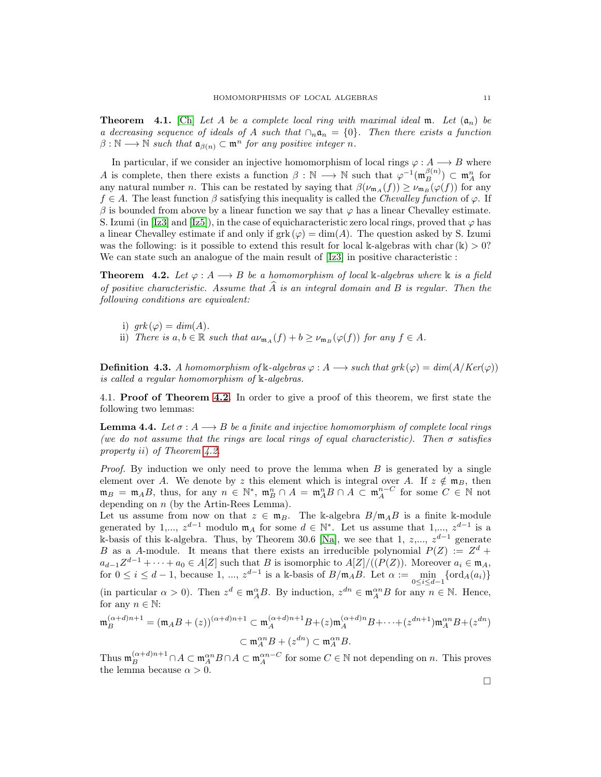**Theorem** 4.1. [\[Ch\]](#page-25-14) Let A be a complete local ring with maximal ideal m. Let  $(a_n)$  be a decreasing sequence of ideals of A such that  $\cap_n \mathfrak{a}_n = \{0\}$ . Then there exists a function  $\beta : \mathbb{N} \longrightarrow \mathbb{N}$  such that  $\mathfrak{a}_{\beta(n)} \subset \mathfrak{m}^n$  for any positive integer n.

In particular, if we consider an injective homomorphism of local rings  $\varphi : A \longrightarrow B$  where A is complete, then there exists a function  $\beta : \mathbb{N} \longrightarrow \mathbb{N}$  such that  $\varphi^{-1}(\mathfrak{m}_{B}^{\beta(n)}) \subset \mathfrak{m}_{A}^{n}$  for any natural number *n*. This can be restated by saying that  $\beta(\nu_{m_A}(f)) \geq \nu_{m_B}(\varphi(f))$  for any  $f \in A$ . The least function  $\beta$  satisfying this inequality is called the Chevalley function of  $\varphi$ . If  $\beta$  is bounded from above by a linear function we say that  $\varphi$  has a linear Chevalley estimate. S. Izumi (in [\[Iz3\]](#page-25-4) and [\[Iz5\]](#page-25-15)), in the case of equicharacteristic zero local rings, proved that  $\varphi$  has a linear Chevalley estimate if and only if  $grk(\varphi) = \dim(A)$ . The question asked by S. Izumi was the following: is it possible to extend this result for local k-algebras with char(k)  $> 0$ ? We can state such an analogue of the main result of [\[Iz3\]](#page-25-4) in positive characteristic :

<span id="page-10-0"></span>**Theorem 4.2.** Let  $\varphi : A \longrightarrow B$  be a homomorphism of local k-algebras where k is a field of positive characteristic. Assume that A is an integral domain and B is regular. Then the following conditions are equivalent:

- i)  $grk(\varphi) = dim(A)$ .
- ii) There is  $a, b \in \mathbb{R}$  such that  $a\nu_{m_A}(f) + b \geq \nu_{m_B}(\varphi(f))$  for any  $f \in A$ .

**Definition 4.3.** A homomorphism of k-algebras  $\varphi : A \longrightarrow \text{such that } grk(\varphi) = \dim(A/Ker(\varphi))$ is called a regular homomorphism of k-algebras.

4.1. **Proof of Theorem [4.2.](#page-10-0)** In order to give a proof of this theorem, we first state the following two lemmas:

<span id="page-10-1"></span>**Lemma 4.4.** Let  $\sigma: A \longrightarrow B$  be a finite and injective homomorphism of complete local rings (we do not assume that the rings are local rings of equal characteristic). Then  $\sigma$  satisfies property ii) of Theorem [4.2.](#page-10-0)

*Proof.* By induction we only need to prove the lemma when  $B$  is generated by a single element over A. We denote by z this element which is integral over A. If  $z \notin \mathfrak{m}_B$ , then  $\mathfrak{m}_B = \mathfrak{m}_A B$ , thus, for any  $n \in \mathbb{N}^*$ ,  $\mathfrak{m}_B^n \cap A = \mathfrak{m}_A^n B \cap A \subset \mathfrak{m}_A^{n-C}$  for some  $C \in \mathbb{N}$  not depending on  $n$  (by the Artin-Rees Lemma).

Let us assume from now on that  $z \in \mathfrak{m}_B$ . The k-algebra  $B/\mathfrak{m}_A B$  is a finite k-module generated by 1,...,  $z^{d-1}$  modulo  $\mathfrak{m}_A$  for some  $d \in \mathbb{N}^*$ . Let us assume that 1,...,  $z^{d-1}$  is a k-basis of this k-algebra. Thus, by Theorem 30.6 [\[Na\]](#page-25-16), we see that 1,  $z, \ldots, z^{d-1}$  generate B as a A-module. It means that there exists an irreducible polynomial  $P(Z) := Z^d +$  $a_{d-1}Z^{d-1} + \cdots + a_0 \in A[Z]$  such that B is isomorphic to  $A[Z]/((P(Z))$ . Moreover  $a_i \in \mathfrak{m}_A$ , for  $0 \leq i \leq d-1$ , because 1, ...,  $z^{d-1}$  is a k-basis of  $B/\mathfrak{m}_A B$ . Let  $\alpha := \min_{0 \leq i \leq d-1} {\text{ord}_A(a_i)}$ 

(in particular  $\alpha > 0$ ). Then  $z^d \in \mathfrak{m}_A^{\alpha}B$ . By induction,  $z^{dn} \in \mathfrak{m}_A^{\alpha n}B$  for any  $n \in \mathbb{N}$ . Hence, for any  $n \in \mathbb{N}$ :

$$
\mathfrak{m}_{B}^{(\alpha+d)n+1} = (\mathfrak{m}_{A}B + (z))^{(\alpha+d)n+1} \subset \mathfrak{m}_{A}^{(\alpha+d)n+1}B + (z)\mathfrak{m}_{A}^{(\alpha+d)n}B + \dots + (z^{dn+1})\mathfrak{m}_{A}^{\alpha n}B + (z^{dn})
$$

$$
\subset \mathfrak{m}_{A}^{\alpha n}B + (z^{dn}) \subset \mathfrak{m}_{A}^{\alpha n}B.
$$

Thus  $\mathfrak{m}_B^{(\alpha+d)n+1} \cap A \subset \mathfrak{m}_A^{\alpha n} B \cap A \subset \mathfrak{m}_A^{\alpha n-C}$  for some  $C \in \mathbb{N}$  not depending on n. This proves the lemma because  $\alpha > 0$ .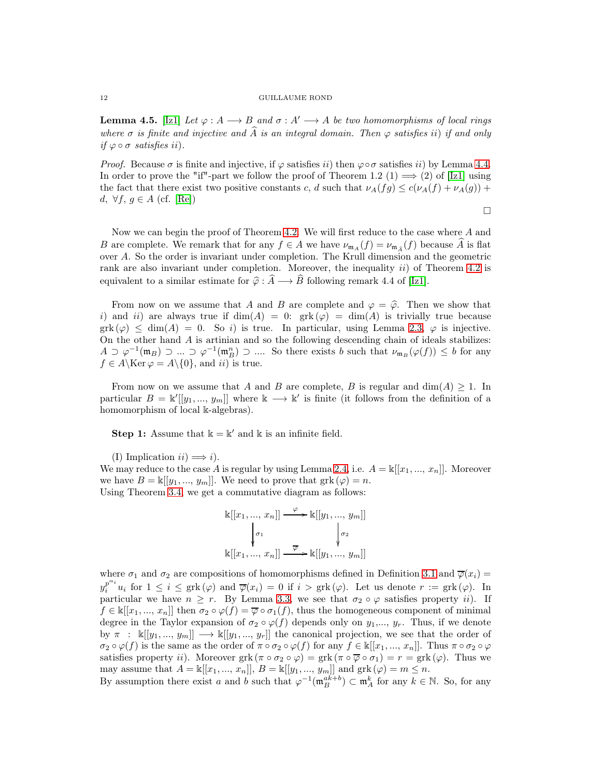<span id="page-11-0"></span>**Lemma 4.5.** [\[Iz1\]](#page-25-17) Let  $\varphi : A \longrightarrow B$  and  $\sigma : A' \longrightarrow A$  be two homomorphisms of local rings where  $\sigma$  is finite and injective and  $\widehat{A}$  is an integral domain. Then  $\varphi$  satisfies ii) if and only if  $\varphi \circ \sigma$  satisfies ii).

*Proof.* Because  $\sigma$  is finite and injective, if  $\varphi$  satisfies ii) then  $\varphi \circ \sigma$  satisfies ii) by Lemma [4.4.](#page-10-1) In order to prove the "if"-part we follow the proof of Theorem 1.2 (1)  $\implies$  (2) of [\[Iz1\]](#page-25-17) using the fact that there exist two positive constants c, d such that  $\nu_A(fg) \leq c(\nu_A(f) + \nu_A(g)) + c$ d, ∀f,  $g \in A$  (cf. [\[Re\]](#page-25-18))

 $\Box$ 

Now we can begin the proof of Theorem [4.2.](#page-10-0) We will first reduce to the case where A and B are complete. We remark that for any  $f \in A$  we have  $\nu_{m_A}(f) = \nu_{m_{\hat{A}}}(f)$  because A is flat over A. So the order is invariant under completion. The Krull dimension and the geometric rank are also invariant under completion. Moreover, the inequality  $ii)$  of Theorem [4.2](#page-10-0) is equivalent to a similar estimate for  $\hat{\varphi} : \hat{A} \longrightarrow \hat{B}$  following remark 4.4 of [\[Iz1\]](#page-25-17).

From now on we assume that A and B are complete and  $\varphi = \hat{\varphi}$ . Then we show that i) and ii) are always true if  $\dim(A) = 0$ :  $grk(\varphi) = \dim(A)$  is trivially true because  $grk(\varphi) \leq dim(A) = 0$ . So i) is true. In particular, using Lemma [2.3,](#page-3-2)  $\varphi$  is injective. On the other hand A is artinian and so the following descending chain of ideals stabilizes:  $A \supset \varphi^{-1}(\mathfrak{m}_B) \supset ... \supset \varphi^{-1}(\mathfrak{m}_B^n) \supset ...$  So there exists b such that  $\nu_{\mathfrak{m}_B}(\varphi(f)) \leq b$  for any  $f \in A \backslash \text{Ker } \varphi = A \backslash \{0\}$ , and *ii*) is true.

From now on we assume that A and B are complete, B is regular and  $\dim(A) \geq 1$ . In particular  $B = \mathbb{k}[[y_1, ..., y_m]]$  where  $\mathbb{k} \longrightarrow \mathbb{k}'$  is finite (it follows from the definition of a homomorphism of local k-algebras).

**Step 1:** Assume that  $\mathbb{k} = \mathbb{k}'$  and  $\mathbb{k}$  is an infinite field.

(I) Implication  $ii) \implies i$ ).

We may reduce to the case A is regular by using Lemma [2.4,](#page-3-0) i.e.  $A = \kappa[[x_1, ..., x_n]]$ . Moreover we have  $B = \kappa[[y_1, ..., y_m]]$ . We need to prove that  $grk(\varphi) = n$ . Using Theorem [3.4,](#page-6-0) we get a commutative diagram as follows:

$$
\begin{aligned} \mathbb{k}[[x_1, ..., x_n]] &\xrightarrow{\varphi} \mathbb{k}[[y_1, ..., y_m]] \\ &\downarrow{\sigma_1} &\downarrow{\sigma_2} \\ \mathbb{k}[[x_1, ..., x_n]] &\xrightarrow{\overline{\varphi}} \mathbb{k}[[y_1, ..., y_m]] \end{aligned}
$$

where  $\sigma_1$  and  $\sigma_2$  are compositions of homomorphisms defined in Definition [3.1](#page-5-1) and  $\overline{\varphi}(x_i)$  $y_i^{p^{\alpha_i}} u_i$  for  $1 \leq i \leq \text{grk}(\varphi)$  and  $\overline{\varphi}(x_i) = 0$  if  $i > \text{grk}(\varphi)$ . Let us denote  $r := \text{grk}(\varphi)$ . In particular we have  $n \geq r$ . By Lemma [3.3,](#page-5-2) we see that  $\sigma_2 \circ \varphi$  satisfies property *ii*). If  $f \in \mathbb{k}[[x_1, ..., x_n]]$  then  $\sigma_2 \circ \varphi(f) = \overline{\varphi} \circ \sigma_1(f)$ , thus the homogeneous component of minimal degree in the Taylor expansion of  $\sigma_2 \circ \varphi(f)$  depends only on  $y_1, \ldots, y_r$ . Thus, if we denote by  $\pi$ :  $\mathbb{K}[[y_1, ..., y_m]] \longrightarrow \mathbb{K}[[y_1, ..., y_r]]$  the canonical projection, we see that the order of  $\sigma_2 \circ \varphi(f)$  is the same as the order of  $\pi \circ \sigma_2 \circ \varphi(f)$  for any  $f \in \mathbb{K}[[x_1, ..., x_n]]$ . Thus  $\pi \circ \sigma_2 \circ \varphi$ satisfies property *ii*). Moreover grk  $(\pi \circ \sigma_2 \circ \varphi) = \text{grk} (\pi \circ \overline{\varphi} \circ \sigma_1) = r = \text{grk}(\varphi)$ . Thus we may assume that  $A = \mathbb{k}[[x_1, ..., x_n]], B = \mathbb{k}[[y_1, ..., y_m]]$  and  $grk(\varphi) = m \leq n$ .

By assumption there exist a and b such that  $\varphi^{-1}(\mathfrak{m}_B^{ak+b}) \subset \mathfrak{m}_A^k$  for any  $k \in \mathbb{N}$ . So, for any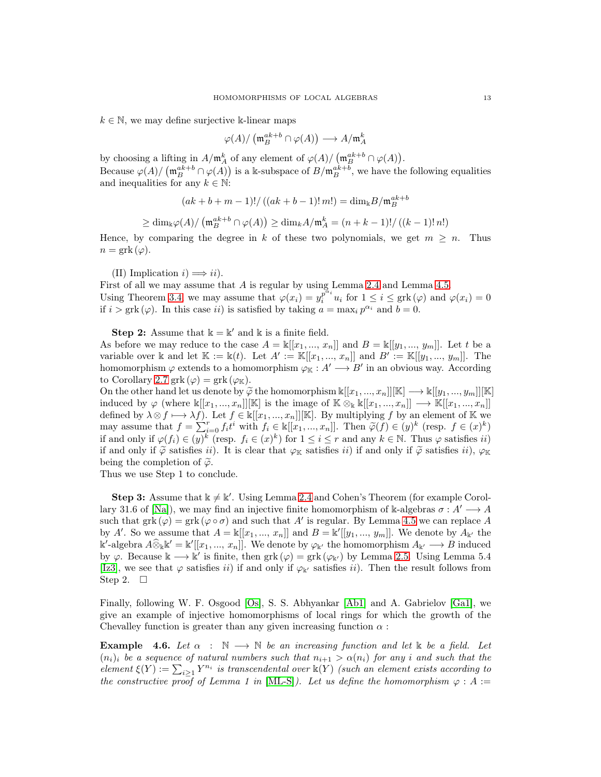$k \in \mathbb{N}$ , we may define surjective k-linear maps

$$
\varphi(A)/\left(\mathfrak{m}_B^{ak+b}\cap \varphi(A)\right)\longrightarrow A/\mathfrak{m}_A^k
$$

by choosing a lifting in  $A/\mathfrak{m}_A^k$  of any element of  $\varphi(A)/(\mathfrak{m}_B^{ak+b}\cap \varphi(A)).$ Because  $\varphi(A)/\left(\mathfrak{m}_B^{ak+b}\cap \varphi(A)\right)$  is a k-subspace of  $B/\mathfrak{m}_B^{ak+b}$ , we have the following equalities and inequalities for any  $k \in \mathbb{N}$ :

$$
(ak + b + m - 1)! / ((ak + b - 1)! m!) = \dim_k B / \mathfrak{m}_B^{ak + b}
$$

$$
\geq \dim_{\mathbb{k}} \varphi(A)/\left(\mathfrak{m}_{B}^{ak+b} \cap \varphi(A)\right) \geq \dim_{k} A/\mathfrak{m}_{A}^{k} = (n+k-1)!/((k-1)!n!)
$$

Hence, by comparing the degree in k of these two polynomials, we get  $m \geq n$ . Thus  $n = \text{grk}(\varphi).$ 

(II) Implication  $i) \Longrightarrow ii$ ).

First of all we may assume that A is regular by using Lemma [2.4](#page-3-0) and Lemma [4.5.](#page-11-0) Using Theorem [3.4,](#page-6-0) we may assume that  $\varphi(x_i) = y_i^{\overline{p}^{\alpha_i}} u_i$  for  $1 \leq i \leq \text{grk}(\varphi)$  and  $\varphi(x_i) = 0$ if  $i > \text{grk}(\varphi)$ . In this case ii) is satisfied by taking  $a = \max_i p^{\alpha_i}$  and  $b = 0$ .

**Step 2:** Assume that  $\mathbb{k} = \mathbb{k}'$  and  $\mathbb{k}$  is a finite field.

As before we may reduce to the case  $A = \mathbb{k}[[x_1, ..., x_n]]$  and  $B = \mathbb{k}[[y_1, ..., y_m]]$ . Let t be a variable over k and let  $\mathbb{K} := \mathbb{k}(t)$ . Let  $A' := \mathbb{K}[[x_1, ..., x_n]]$  and  $B' := \mathbb{K}[[y_1, ..., y_m]]$ . The homomorphism  $\varphi$  extends to a homomorphism  $\varphi_{\mathbb{K}} : A' \longrightarrow B'$  in an obvious way. According to Corollary [2.7](#page-4-1) grk  $(\varphi) = \text{grk}(\varphi_K)$ .

On the other hand let us denote by  $\widetilde{\varphi}$  the homomorphism  $\Bbbk[[x_1, ..., x_n]][\Bbbk] \longrightarrow \Bbbk[[y_1, ..., y_m]][\Bbbk]$ induced by  $\varphi$  (where  $\mathbb{k}[[x_1, ..., x_n]][\mathbb{K}]$  is the image of  $\mathbb{K} \otimes_{\mathbb{K}} \mathbb{k}[[x_1, ..., x_n]] \longrightarrow \mathbb{K}[[x_1, ..., x_n]]$ defined by  $\lambda \otimes f \longmapsto \lambda f$ ). Let  $f \in \mathbb{k}[[x_1, ..., x_n]][\mathbb{K}]$ . By multiplying f by an element of K we may assume that  $f = \sum_{i=0}^{r} f_i t^i$  with  $f_i \in \mathbb{k}[[x_1, ..., x_n]]$ . Then  $\widetilde{\varphi}(f) \in (y)^k$  (resp.  $f \in (x)^k$ ) if and only if  $\varphi(f_i) \in (y)^k$  (resp.  $f_i \in (x)^k$ ) for  $1 \leq i \leq r$  and any  $k \in \mathbb{N}$ . Thus  $\varphi$  satisfies ii) if and only if  $\widetilde{\varphi}$  satisfies ii). It is clear that  $\varphi_{\mathbb{K}}$  satisfies ii) if and only if  $\widetilde{\varphi}$  satisfies ii),  $\varphi_{\mathbb{K}}$ being the completion of  $\widetilde{\varphi}$ .

Thus we use Step 1 to conclude.

**Step 3:** Assume that  $k \neq k'$ . Using Lemma [2.4](#page-3-0) and Cohen's Theorem (for example Corol-lary 31.6 of [\[Na\]](#page-25-16)), we may find an injective finite homomorphism of k-algebras  $\sigma : A' \longrightarrow A$ such that  $grk(\varphi) = grk(\varphi \circ \sigma)$  and such that A' is regular. By Lemma [4.5](#page-11-0) we can replace A by A'. So we assume that  $A = \mathbb{k}[[x_1, ..., x_n]]$  and  $B = \mathbb{k}'[[y_1, ..., y_m]]$ . We denote by  $A_{\mathbb{k}'}$  the  $\Bbbk'$ -algebra  $A\widehat{\otimes}_{\Bbbk} \Bbbk' = \Bbbk'[[x_1, ..., x_n]]$ . We denote by  $\varphi_{\Bbbk'}$  the homomorphism  $A_{\Bbbk'} \longrightarrow B$  induced by  $\varphi$ . Because  $\Bbbk \longrightarrow \overline{\Bbbk}'$  is finite, then grk  $(\varphi) = \text{grk}(\varphi_{\Bbbk'})$  by Lemma [2.5.](#page-3-3) Using Lemma 5.4 [\[Iz3\]](#page-25-4), we see that  $\varphi$  satisfies ii) if and only if  $\varphi_{\mathbf{k}'}$  satisfies ii). Then the result follows from Step 2.  $\square$ 

Finally, following W. F. Osgood [\[Os\]](#page-25-19), S. S. Abhyankar [\[Ab1\]](#page-24-2) and A. Gabrielov [\[Ga1\]](#page-25-20), we give an example of injective homomorphisms of local rings for which the growth of the Chevalley function is greater than any given increasing function  $\alpha$ :

<span id="page-12-0"></span>**Example** 4.6. Let  $\alpha : \mathbb{N} \longrightarrow \mathbb{N}$  be an increasing function and let k be a field. Let  $(n_i)_i$  be a sequence of natural numbers such that  $n_{i+1} > \alpha(n_i)$  for any i and such that the element  $\xi(Y) := \sum_{i \geq 1} Y^{n_i}$  is transcendental over  $\Bbbk(Y)$  (such an element exists according to the constructive proof of Lemma 1 in [\[ML-S\]](#page-25-21)). Let us define the homomorphism  $\varphi : A :=$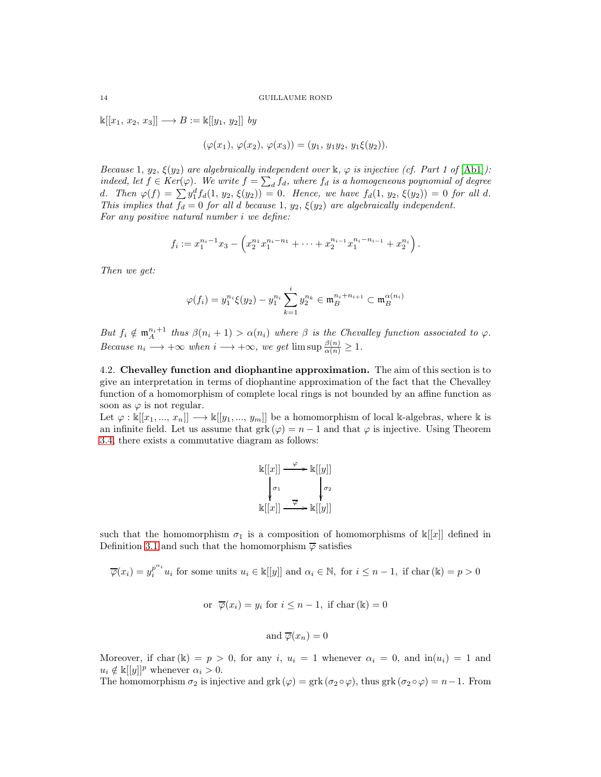$\mathbb{k}[[x_1, x_2, x_3]] \longrightarrow B := \mathbb{k}[[y_1, y_2]]$  by

$$
(\varphi(x_1), \varphi(x_2), \varphi(x_3)) = (y_1, y_1y_2, y_1\xi(y_2)).
$$

Because 1,  $y_2$ ,  $\xi(y_2)$  are algebraically independent over  $\Bbbk$ ,  $\varphi$  is injective (cf. Part 1 of  $[\text{Ab1}]$ ): indeed, let  $f \in Ker(\varphi)$ . We write  $f = \sum_d f_d$ , where  $f_d$  is a homogeneous poynomial of degree d. Then  $\varphi(f) = \sum y_1^d f_d(1, y_2, \xi(y_2)) = 0$ . Hence, we have  $f_d(1, y_2, \xi(y_2)) = 0$  for all d. This implies that  $f_d = 0$  for all d because 1,  $y_2$ ,  $\xi(y_2)$  are algebraically independent. For any positive natural number i we define:

$$
f_i := x_1^{n_i-1} x_3 - \left( x_2^{n_1} x_1^{n_i-n_1} + \dots + x_2^{n_{i-1}} x_1^{n_i-n_{i-1}} + x_2^{n_i} \right).
$$

Then we get:

$$
\varphi(f_i) = y_1^{n_i} \xi(y_2) - y_1^{n_i} \sum_{k=1}^i y_2^{n_k} \in \mathfrak{m}_B^{n_i + n_{i+1}} \subset \mathfrak{m}_B^{\alpha(n_i)}
$$

But  $f_i \notin \mathfrak{m}_A^{n_i+1}$  thus  $\beta(n_i + 1) > \alpha(n_i)$  where  $\beta$  is the Chevalley function associated to  $\varphi$ . Because  $n_i \longrightarrow +\infty$  when  $i \longrightarrow +\infty$ , we get  $\limsup \frac{\beta(n)}{\alpha(n)} \geq 1$ .

4.2. Chevalley function and diophantine approximation. The aim of this section is to give an interpretation in terms of diophantine approximation of the fact that the Chevalley function of a homomorphism of complete local rings is not bounded by an affine function as soon as  $\varphi$  is not regular.

Let  $\varphi : \Bbbk[[x_1, ..., x_n]] \longrightarrow \Bbbk[[y_1, ..., y_m]]$  be a homomorphism of local k-algebras, where k is an infinite field. Let us assume that grk  $(\varphi) = n - 1$  and that  $\varphi$  is injective. Using Theorem [3.4,](#page-6-0) there exists a commutative diagram as follows:

$$
\begin{array}{ccc}\n\mathbb{k}[[x]] & \xrightarrow{\varphi} & \mathbb{k}[[y]] \\
\downarrow{\sigma_1} & & \downarrow{\sigma_2} \\
\mathbb{k}[[x]] & \xrightarrow{\overline{\varphi}} & \mathbb{k}[[y]]\n\end{array}
$$

such that the homomorphism  $\sigma_1$  is a composition of homomorphisms of  $\mathbb{k}[[x]]$  defined in Definition [3.1](#page-5-1) and such that the homomorphism  $\overline{\varphi}$  satisfies

$$
\overline{\varphi}(x_i) = y_i^{p^{\alpha_i}} u_i \text{ for some units } u_i \in \mathbb{k}[[y]] \text{ and } \alpha_i \in \mathbb{N}, \text{ for } i \leq n-1, \text{ if } \text{char}(\mathbb{k}) = p > 0
$$

or 
$$
\overline{\varphi}(x_i) = y_i
$$
 for  $i \leq n-1$ , if char  $(\mathbb{k}) = 0$ 

and 
$$
\overline{\varphi}(x_n) = 0
$$

Moreover, if char(k) = p > 0, for any i,  $u_i = 1$  whenever  $\alpha_i = 0$ , and  $\text{in}(u_i) = 1$  and  $u_i \notin \mathbb{k}[[y]]^p$  whenever  $\alpha_i > 0$ .

The homomorphism  $\sigma_2$  is injective and grk ( $\varphi$ ) = grk ( $\sigma_2 \circ \varphi$ ), thus grk ( $\sigma_2 \circ \varphi$ ) = n-1. From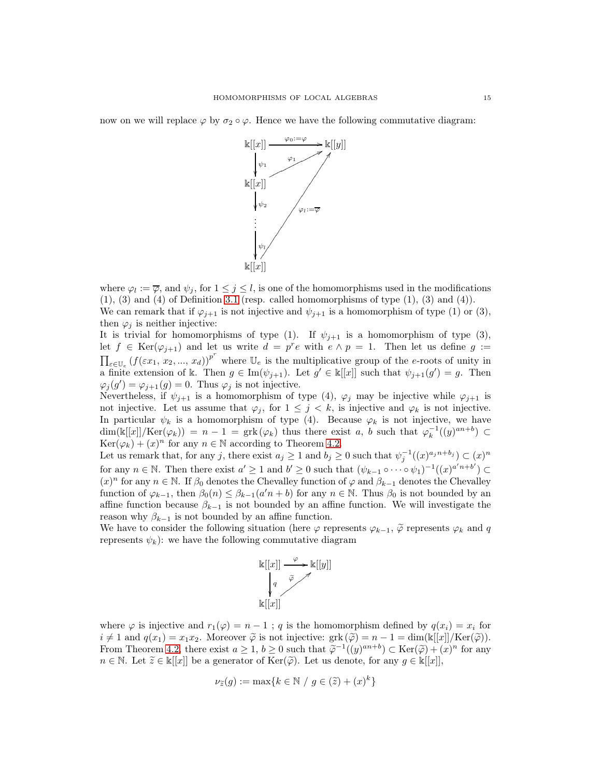now on we will replace  $\varphi$  by  $\sigma_2 \circ \varphi$ . Hence we have the following commutative diagram:



where  $\varphi_l := \overline{\varphi}$ , and  $\psi_j$ , for  $1 \leq j \leq l$ , is one of the homomorphisms used in the modifications  $(1)$ ,  $(3)$  and  $(4)$  of Definition [3.1](#page-5-1) (resp. called homomorphisms of type  $(1)$ ,  $(3)$  and  $(4)$ ). We can remark that if  $\varphi_{j+1}$  is not injective and  $\psi_{j+1}$  is a homomorphism of type (1) or (3),

then  $\varphi_j$  is neither injective:

It is trivial for homomorphisms of type (1). If  $\psi_{j+1}$  is a homomorphism of type (3), let  $f \in \text{Ker}(\varphi_{j+1})$  and let us write  $d = p^r e$  with  $e \wedge p = 1$ . Then let us define  $g :=$  $\prod_{e \in \mathbb{U}_e} (f(\varepsilon x_1, x_2, ..., x_d))^{\tilde{p}^r}$  where  $\mathbb{U}_e$  is the multiplicative group of the e-roots of unity in a finite extension of k. Then  $g \in \text{Im}(\psi_{j+1})$ . Let  $g' \in \mathbb{k}[[x]]$  such that  $\psi_{j+1}(g') = g$ . Then  $\varphi_j(g') = \varphi_{j+1}(g) = 0$ . Thus  $\varphi_j$  is not injective.

Nevertheless, if  $\psi_{j+1}$  is a homomorphism of type (4),  $\varphi_j$  may be injective while  $\varphi_{j+1}$  is not injective. Let us assume that  $\varphi_j$ , for  $1 \leq j \leq k$ , is injective and  $\varphi_k$  is not injective. In particular  $\psi_k$  is a homomorphism of type (4). Because  $\varphi_k$  is not injective, we have  $\dim(\mathbb{k}[[x]]/\text{Ker}(\varphi_k)) = n-1 = \text{grk}(\varphi_k)$  thus there exist a, b such that  $\varphi_k^{-1}((y)^{an+b}) \subset$  $Ker(\varphi_k) + (x)^n$  for any  $n \in \mathbb{N}$  according to Theorem [4.2.](#page-10-0)

Let us remark that, for any j, there exist  $a_j \ge 1$  and  $b_j \ge 0$  such that  $\psi_j^{-1}((x)^{a_j n + b_j}) \subset (x)^n$ for any  $n \in \mathbb{N}$ . Then there exist  $a' \geq 1$  and  $b' \geq 0$  such that  $(\psi_{k-1} \circ \cdots \circ \psi_1)^{-1}((x)^{a'n+b'}) \subset$  $(x)^n$  for any  $n \in \mathbb{N}$ . If  $\beta_0$  denotes the Chevalley function of  $\varphi$  and  $\beta_{k-1}$  denotes the Chevalley function of  $\varphi_{k-1}$ , then  $\beta_0(n) \leq \beta_{k-1}(a'n + b)$  for any  $n \in \mathbb{N}$ . Thus  $\beta_0$  is not bounded by an affine function because  $\beta_{k-1}$  is not bounded by an affine function. We will investigate the reason why  $\beta_{k-1}$  is not bounded by an affine function.

We have to consider the following situation (here  $\varphi$  represents  $\varphi_{k-1}$ ,  $\tilde{\varphi}$  represents  $\varphi_k$  and q represents  $\psi_k$ : we have the following commutative diagram



where  $\varphi$  is injective and  $r_1(\varphi) = n - 1$ ; q is the homomorphism defined by  $q(x_i) = x_i$  for  $i \neq 1$  and  $q(x_1) = x_1x_2$ . Moreover  $\widetilde{\varphi}$  is not injective:  $grk(\widetilde{\varphi}) = n - 1 = \dim(\mathbb{k}[[x]]/\text{Ker}(\widetilde{\varphi}))$ . From Theorem [4.2,](#page-10-0) there exist  $a \geq 1$ ,  $b \geq 0$  such that  $\widetilde{\varphi}^{-1}((y)^{an+b}) \subset \text{Ker}(\widetilde{\varphi}) + (x)^n$  for any  $n \in \mathbb{N}$ . Let  $\widetilde{z} \in \mathbb{k}[[x]]$  be a generator of  $\text{Ker}(\widetilde{\varphi})$ . Let us denote, for any  $g \in \mathbb{k}[[x]]$ ,

$$
\nu_{\widetilde{z}}(g) := \max\{k \in \mathbb{N} / g \in (\widetilde{z}) + (x)^k\}
$$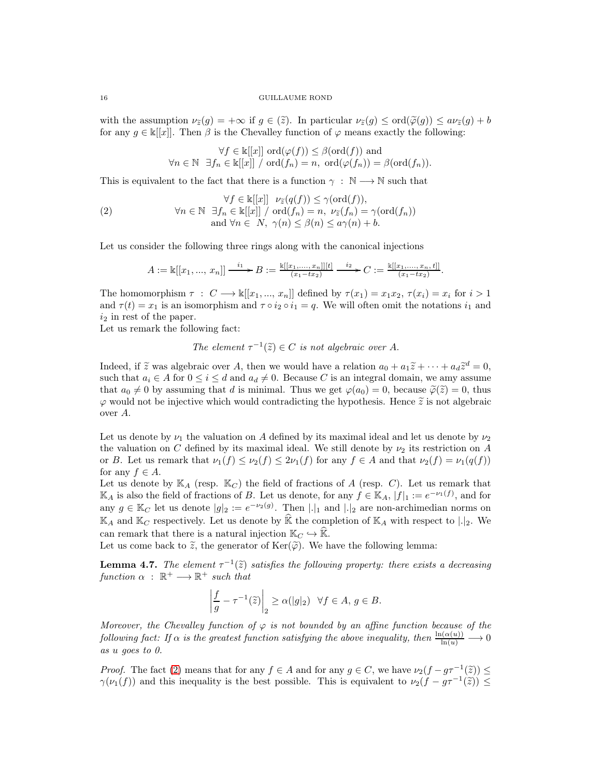with the assumption  $\nu_{\tilde{z}}(g) = +\infty$  if  $g \in (\tilde{z})$ . In particular  $\nu_{\tilde{z}}(g) \leq \text{ord}(\tilde{\varphi}(g)) \leq a\nu_{\tilde{z}}(g) + b$ for any  $g \in \kappa[[x]]$ . Then  $\beta$  is the Chevalley function of  $\varphi$  means exactly the following:

<span id="page-15-0"></span>
$$
\forall f \in \mathbb{k}[[x]] \text{ ord}(\varphi(f)) \leq \beta(\text{ord}(f)) \text{ and}
$$

$$
\forall n \in \mathbb{N} \ \exists f_n \in \mathbb{k}[[x]] / \text{ ord}(f_n) = n, \ \text{ord}(\varphi(f_n)) = \beta(\text{ord}(f_n)).
$$

This is equivalent to the fact that there is a function  $\gamma : \mathbb{N} \longrightarrow \mathbb{N}$  such that

$$
\forall f \in \mathbb{k}[[x]] \quad \nu_{\tilde{z}}(q(f)) \leq \gamma(\text{ord}(f)),
$$
\n
$$
\forall n \in \mathbb{N} \quad \exists f_n \in \mathbb{k}[[x]] \ / \ \text{ord}(f_n) = n, \ \nu_{\tilde{z}}(f_n) = \gamma(\text{ord}(f_n))
$$
\n
$$
\text{and } \forall n \in N, \ \gamma(n) \leq \beta(n) \leq a\gamma(n) + b.
$$

Let us consider the following three rings along with the canonical injections

$$
A := \mathbb{k}[[x_1, ..., x_n]] \xrightarrow{i_1} B := \frac{\mathbb{k}[[x_1, ..., x_n]][t]}{(x_1 - tx_2)} \xrightarrow{i_2} C := \frac{\mathbb{k}[[x_1, ..., x_n, t]]}{(x_1 - tx_2)}.
$$

The homomorphism  $\tau : C \longrightarrow \mathbb{k}[[x_1, ..., x_n]]$  defined by  $\tau(x_1) = x_1x_2, \tau(x_i) = x_i$  for  $i > 1$ and  $\tau(t) = x_1$  is an isomorphism and  $\tau \circ i_2 \circ i_1 = q$ . We will often omit the notations  $i_1$  and  $i_2$  in rest of the paper.

Let us remark the following fact:

The element 
$$
\tau^{-1}(\tilde{z}) \in C
$$
 is not algebraic over A.

Indeed, if  $\tilde{z}$  was algebraic over A, then we would have a relation  $a_0 + a_1 \tilde{z} + \cdots + a_d \tilde{z}^d = 0$ , such that  $a_i \in A$  for  $0 \le i \le d$  and  $a_d \ne 0$ . Because C is an integral domain, we amy assume that  $a_0 \neq 0$  by assuming that d is minimal. Thus we get  $\varphi(a_0) = 0$ , because  $\widetilde{\varphi}(\widetilde{z}) = 0$ , thus  $\varphi$  would not be injective which would contradicting the hypothesis. Hence  $\tilde{z}$  is not algebraic over A.

Let us denote by  $\nu_1$  the valuation on A defined by its maximal ideal and let us denote by  $\nu_2$ the valuation on C defined by its maximal ideal. We still denote by  $\nu_2$  its restriction on A or B. Let us remark that  $\nu_1(f) \leq \nu_2(f) \leq 2\nu_1(f)$  for any  $f \in A$  and that  $\nu_2(f) = \nu_1(q(f))$ for any  $f \in A$ .

Let us denote by  $\mathbb{K}_{A}$  (resp.  $\mathbb{K}_{C}$ ) the field of fractions of A (resp. C). Let us remark that  $\mathbb{K}_A$  is also the field of fractions of B. Let us denote, for any  $f \in \mathbb{K}_A$ ,  $|f|_1 := e^{-\nu_1(f)}$ , and for any  $g \in \mathbb{K}_C$  let us denote  $|g|_2 := e^{-\nu_2(g)}$ . Then  $|.|_1$  and  $|.|_2$  are non-archimedian norms on  $\mathbb{K}_A$  and  $\mathbb{K}_C$  respectively. Let us denote by  $\hat{\mathbb{K}}$  the completion of  $\mathbb{K}_A$  with respect to  $|.|_2$ . We can remark that there is a natural injection  $\mathbb{K}_C \hookrightarrow \widehat{\mathbb{K}}$ .

Let us come back to  $\tilde{z}$ , the generator of Ker( $\tilde{\varphi}$ ). We have the following lemma:

**Lemma 4.7.** The element  $\tau^{-1}(\tilde{z})$  satisfies the following property: there exists a decreasing function  $\alpha$ :  $\mathbb{R}^+ \longrightarrow \mathbb{R}^+$  such that

$$
\left|\frac{f}{g}-\tau^{-1}(\widetilde{z})\right|_2 \ge \alpha(|g|_2) \quad \forall f \in A, \, g \in B.
$$

Moreover, the Chevalley function of  $\varphi$  is not bounded by an affine function because of the following fact: If  $\alpha$  is the greatest function satisfying the above inequality, then  $\frac{\ln(\alpha(u))}{\ln(u)} \longrightarrow 0$ as u goes to 0.

Proof. The fact [\(2\)](#page-15-0) means that for any  $f \in A$  and for any  $g \in C$ , we have  $\nu_2(f - g\tau^{-1}(\tilde{z})) \le$  $\gamma(\nu_1(f))$  and this inequality is the best possible. This is equivalent to  $\nu_2(f - g\tau^{-1}(\tilde{z})) \le$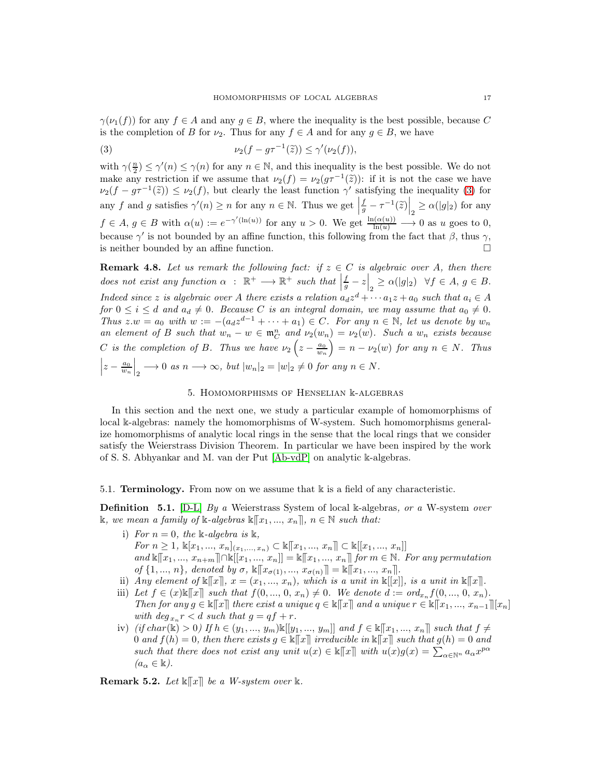$\gamma(\nu_1(f))$  for any  $f \in A$  and any  $g \in B$ , where the inequality is the best possible, because C is the completion of B for  $\nu_2$ . Thus for any  $f \in A$  and for any  $g \in B$ , we have

<span id="page-16-1"></span>(3) 
$$
\nu_2(f - g\tau^{-1}(\tilde{z})) \le \gamma'(\nu_2(f)),
$$

with  $\gamma(\frac{n}{2}) \leq \gamma'(n) \leq \gamma(n)$  for any  $n \in \mathbb{N}$ , and this inequality is the best possible. We do not make any restriction if we assume that  $\nu_2(f) = \nu_2(g\tau^{-1}(\tilde{z}))$ : if it is not the case we have  $\nu_2(f - g\tau^{-1}(\tilde{z})) \leq \nu_2(f)$ , but clearly the least function  $\gamma'$  satisfying the inequality [\(3\)](#page-16-1) for any f and g satisfies  $\gamma'(n) \geq n$  for any  $n \in \mathbb{N}$ . Thus we get  $\left| \frac{f}{g} - \tau^{-1}(\tilde{z}) \right|_2 \geq \alpha(|g|_2)$  for any  $f \in A, g \in B$  with  $\alpha(u) := e^{-\gamma'(\ln(u))}$  for any  $u > 0$ . We get  $\frac{\ln(\alpha(u))}{\ln(u)} \longrightarrow 0$  as u goes to 0, because  $\gamma'$  is not bounded by an affine function, this following from the fact that  $\beta$ , thus  $\gamma$ , is neither bounded by an affine function.

**Remark 4.8.** Let us remark the following fact: if  $z \in C$  is algebraic over A, then there does not exist any function  $\alpha : \mathbb{R}^+ \longrightarrow \mathbb{R}^+$  such that  $\left|\frac{f}{g} - z\right|_2 \geq \alpha(|g|_2) \quad \forall f \in A, g \in B$ . Indeed since z is algebraic over A there exists a relation  $a_d z^d + \cdots a_1 z + a_0$  such that  $a_i \in A$ for  $0 \leq i \leq d$  and  $a_d \neq 0$ . Because C is an integral domain, we may assume that  $a_0 \neq 0$ . Thus  $z.w = a_0$  with  $w := -(a_d z^{d-1} + \cdots + a_1) \in C$ . For any  $n \in \mathbb{N}$ , let us denote by  $w_n$ an element of B such that  $w_n - w \in \mathfrak{m}_C^n$  and  $\nu_2(w_n) = \nu_2(w)$ . Such a  $w_n$  exists because C is the completion of B. Thus we have  $\nu_2 \left(z - \frac{a_0}{w_n}\right)$  $\int = n - \nu_2(w)$  for any  $n \in N$ . Thus  $z - \frac{a_0}{w_n}$  $\Big|_2 \longrightarrow 0$  as  $n \longrightarrow \infty$ , but  $|w_n|_2 = |w|_2 \neq 0$  for any  $n \in N$ .

# 5. Homomorphisms of Henselian k-algebras

<span id="page-16-0"></span>In this section and the next one, we study a particular example of homomorphisms of local k-algebras: namely the homomorphisms of W-system. Such homomorphisms generalize homomorphisms of analytic local rings in the sense that the local rings that we consider satisfy the Weierstrass Division Theorem. In particular we have been inspired by the work of S. S. Abhyankar and M. van der Put [\[Ab-vdP\]](#page-24-0) on analytic k-algebras.

### 5.1. **Terminology.** From now on we assume that  $\mathbb{k}$  is a field of any characteristic.

<span id="page-16-3"></span>**Definition** 5.1. [\[D-L\]](#page-25-22) By a Weierstrass System of local k-algebras, or a W-system over k, we mean a family of k-algebras  $\mathbb{K}[x_1, ..., x_n]$ ,  $n \in \mathbb{N}$  such that:

- i) For  $n = 0$ , the k-algebra is k, For  $n \geq 1$ ,  $\mathbb{K}[x_1, ..., x_n]_{(x_1, ..., x_n)} \subset \mathbb{K}[[x_1, ..., x_n]] \subset \mathbb{K}[[x_1, ..., x_n]]$ and  $\kappa[[x_1, ..., x_{n+m}]] \cap \kappa[[x_1, ..., x_n]] = \kappa[[x_1, ..., x_n]]$  for  $m \in \mathbb{N}$ . For any permutation of  $\{1, ..., n\}$ , denoted by  $\sigma$ ,  $\mathbb{K}[[x_{\sigma(1)}, ..., x_{\sigma(n)}]] = \mathbb{K}[[x_1, ..., x_n]].$
- ii) Any element of  $\mathbb{K}[\![x]\!], x = (x_1, ..., x_n)$ , which is a unit in  $\mathbb{K}[[x]]$ , is a unit in  $\mathbb{K}[\![x]\!].$
- iii) Let  $f \in (x)\&\|x\|$  such that  $f(0, ..., 0, x_n) \neq 0$ . We denote  $d := ord_{x_n} f(0, ..., 0, x_n)$ . Then for any  $g \in \mathbb{K}[[x]]$  there exist a unique  $q \in \mathbb{K}[[x]]$  and a unique  $r \in \mathbb{K}[[x_1, ..., x_{n-1}]][x_n]$ with  $\deg_{x_n} r < d$  such that  $g = qf + r$ .
- iv) (if char(k) > 0) If  $h \in (y_1, ..., y_m) \& [[y_1, ..., y_m]]$  and  $f \in \mathbb{K}[[x_1, ..., x_n]]$  such that  $f \neq$ 0 and  $f(h) = 0$ , then there exists  $g \in \mathbb{K}[[x]]$  irreducible in  $\mathbb{K}[[x]]$  such that  $g(h) = 0$  and such that there does not exist any unit  $u(x) \in \mathbb{R}[[x]]$  with  $u(x)g(x) = \sum_{\alpha \in \mathbb{N}^n} a_{\alpha} x^{p\alpha}$  $(a_{\alpha} \in \mathbb{k}).$

<span id="page-16-2"></span>**Remark 5.2.** Let  $\mathbb{k}[[x]]$  be a W-system over  $\mathbb{k}$ .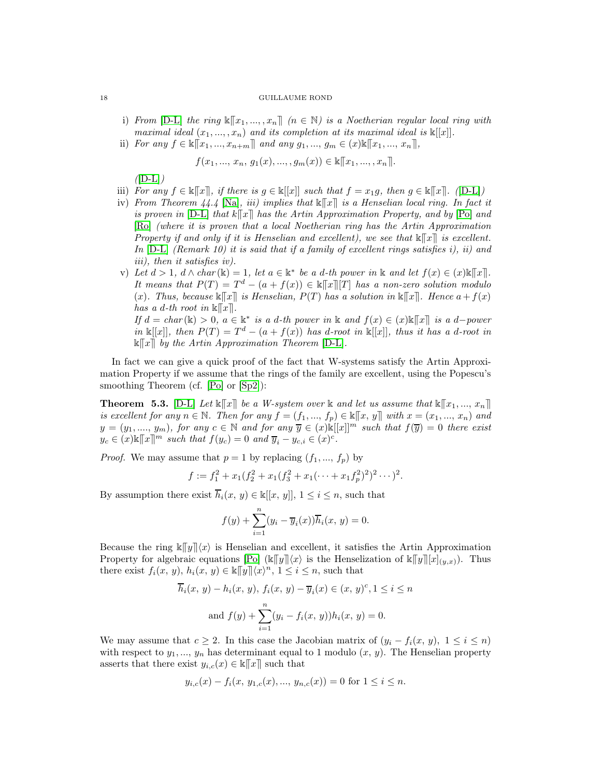- i) From [\[D-L\]](#page-25-22) the ring  $\mathbb{K}[\![x_1, ..., x_n]\!]$  ( $n \in \mathbb{N}$ ) is a Noetherian regular local ring with maximal ideal  $(x_1, ..., x_n)$  and its completion at its maximal ideal is  $\mathbb{K}[[x]]$ .
- ii) For any  $f \in \mathbb{k}[[x_1, ..., x_{n+m}]]$  and any  $g_1, ..., g_m \in (x)\mathbb{k}[[x_1, ..., x_n]]$ ,

$$
f(x_1, ..., x_n, g_1(x), ..., g_m(x)) \in \mathbb{K}[[x_1, ..., x_n]].
$$

 $(ID-L])$ 

- iii) For any  $f \in \mathbb{K}[[x]]$ , if there is  $g \in \mathbb{K}[[x]]$  such that  $f = x_1g$ , then  $g \in \mathbb{K}[[x]]$ . ([\[D-L\]](#page-25-22))
- iv) From Theorem 44.4 [\[Na\]](#page-25-16), iii) implies that  $\mathbb{K}[\mathbb{T}]$  is a Henselian local ring. In fact it is proven in  $[D-L]$  that  $k[[x]]$  has the Artin Approximation Property, and by  $[Po]$  and [\[Ro\]](#page-25-24) (where it is proven that a local Noetherian ring has the Artin Approximation Property if and only if it is Henselian and excellent), we see that  $\mathbb{K}[\![x]\!]$  is excellent. In  $[D-L]$  (Remark 10) it is said that if a family of excellent rings satisfies i), ii) and iii), then it satisfies iv).
- v) Let  $d > 1$ ,  $d \wedge char(\mathbb{k}) = 1$ , let  $a \in \mathbb{k}^*$  be a d-th power in  $\mathbb{k}$  and let  $f(x) \in (x) \mathbb{k}[[x]]$ . It means that  $P(T) = T^d - (a + f(x)) \in \mathbb{R}[[x]][T]$  has a non-zero solution modulo (x). Thus, because  $\&\llbracket x \rrbracket$  is Henselian,  $P(T)$  has a solution in  $\&\llbracket x \rrbracket$ . Hence  $a+f(x)$ has a d-th root in  $\mathbb{k}[[x]]$ . If  $d = char(\mathbb{k}) > 0$ ,  $a \in \mathbb{k}^*$  is a d-th power in  $\mathbb{k}$  and  $f(x) \in (x) \mathbb{k}[[x]]$  is a d-power in  $\mathbb{k}[[x]]$ , then  $P(T) = T^d - (a + f(x))$  has d-root in  $\mathbb{k}[[x]]$ , thus it has a d-root in

 $\mathbb{k}[[x]]$  by the Artin Approximation Theorem [\[D-L\]](#page-25-22).

In fact we can give a quick proof of the fact that W-systems satisfy the Artin Approximation Property if we assume that the rings of the family are excellent, using the Popescu's smoothing Theorem (cf. [\[Po\]](#page-25-23) or [\[Sp2\]](#page-25-25)):

**Theorem 5.3.** [\[D-L\]](#page-25-22) Let  $\mathbb{K}[[x]]$  be a W-system over  $\mathbb{K}$  and let us assume that  $\mathbb{K}[[x_1, ..., x_n]]$ is excellent for any  $n \in \mathbb{N}$ . Then for any  $f = (f_1, ..., f_p) \in \mathbb{K}[[x, y]]$  with  $x = (x_1, ..., x_n)$  and  $y = (y_1, ..., y_m)$ , for any  $c \in \mathbb{N}$  and for any  $\overline{y} \in (x)\mathbb{K}[[x]]^m$  such that  $f(\overline{y}) = 0$  there exist  $y_c \in (x)\mathbb{K}[[x]]^m$  such that  $f(y_c) = 0$  and  $\overline{y}_i - y_{c,i} \in (x)^c$ .

*Proof.* We may assume that  $p = 1$  by replacing  $(f_1, ..., f_p)$  by

$$
f := f_1^2 + x_1(f_2^2 + x_1(f_3^2 + x_1(\cdots + x_1f_p^2)^2)^2 \cdots)^2.
$$

By assumption there exist  $\overline{h}_i(x, y) \in \mathbb{k}[[x, y]], 1 \leq i \leq n$ , such that

$$
f(y) + \sum_{i=1}^{n} (y_i - \overline{y}_i(x))\overline{h}_i(x, y) = 0.
$$

Because the ring  $\mathbb{K}[\![y]\!](x)$  is Henselian and excellent, it satisfies the Artin Approximation Property for algebraic equations  $\text{Po}(\kappa[\![y]\!](x)$  is the Henselization of  $\kappa[\![y]\!](x|_{(y,x)})$ . Thus there exist  $f_i(x, y)$ ,  $h_i(x, y) \in \mathbb{R}[\overline{y}][\langle x \rangle^n, 1 \leq i \leq n$ , such that

$$
\overline{h}_i(x, y) - h_i(x, y), f_i(x, y) - \overline{y}_i(x) \in (x, y)^c, 1 \le i \le n
$$
  
and 
$$
f(y) + \sum_{i=1}^n (y_i - f_i(x, y))h_i(x, y) = 0.
$$

We may assume that  $c \geq 2$ . In this case the Jacobian matrix of  $(y_i - f_i(x, y), 1 \leq i \leq n)$ with respect to  $y_1, ..., y_n$  has determinant equal to 1 modulo  $(x, y)$ . The Henselian property asserts that there exist  $y_{i,c}(x) \in \mathbb{K}[[x]]$  such that

$$
y_{i,c}(x) - f_i(x, y_{1,c}(x), \ldots, y_{n,c}(x)) = 0
$$
 for  $1 \le i \le n$ .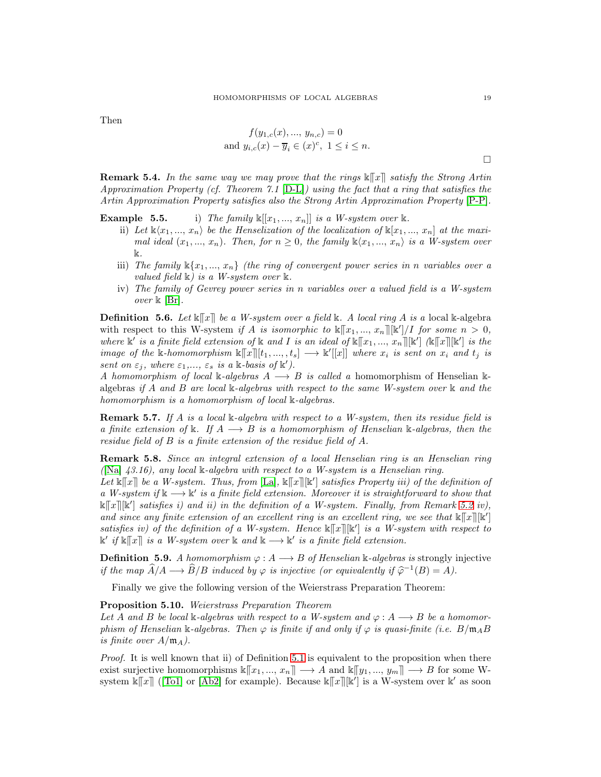Then

$$
f(y_{1,c}(x), ..., y_{n,c}) = 0
$$
  
and  $y_{i,c}(x) - \overline{y}_i \in (x)^c$ ,  $1 \le i \le n$ .

**Remark 5.4.** In the same way we may prove that the rings  $\mathbb{K}[\mathbf{x}]$  satisfy the Strong Artin Approximation Property (cf. Theorem 7.1 [\[D-L\]](#page-25-22)) using the fact that a ring that satisfies the Artin Approximation Property satisfies also the Strong Artin Approximation Property [\[P-P\]](#page-25-26).

**Example 5.5.** i) The family  $\mathbb{K}[[x_1, ..., x_n]]$  is a W-system over k.

- ii) Let  $\mathbb{k}\langle x_1, ..., x_n \rangle$  be the Henselization of the localization of  $\mathbb{k}[x_1, ..., x_n]$  at the maximal ideal  $(x_1, ..., x_n)$ . Then, for  $n \geq 0$ , the family  $\Bbbk \langle x_1, ..., x_n \rangle$  is a W-system over k.
- iii) The family  $\mathbb{K}\{x_1, ..., x_n\}$  (the ring of convergent power series in n variables over a valued field  $\Bbbk$ ) is a W-system over  $\Bbbk$ .
- iv) The family of Gevrey power series in n variables over a valued field is a W-system over  $\Bbbk$  [\[Br\]](#page-25-27).

**Definition 5.6.** Let  $\mathbb{K}[\mathbf{x}]$  be a W-system over a field  $\mathbb{K}$ . A local ring A is a local  $\mathbb{K}$ -algebra with respect to this W-system if A is isomorphic to  $\kappa[[x_1, ..., x_n]][\kappa']/I$  for some  $n > 0$ , where  $\mathbb{k}'$  is a finite field extension of  $\mathbb{k}$  and I is an ideal of  $\mathbb{k}[[x_1, ..., x_n]][\mathbb{k}']$  ( $\mathbb{k}[[x][\mathbb{k}']$  is the image of the k-homomorphism  $\mathbb{K}[\![x]\!][t_1, ..., t_s] \longrightarrow \mathbb{K}[[x]]$  where  $x_i$  is sent on  $x_i$  and  $t_j$  is sent on  $\varepsilon_j$ , where  $\varepsilon_1,..., \varepsilon_s$  is a k-basis of k').

A homomorphism of local k-algebras  $A \longrightarrow B$  is called a homomorphism of Henselian kalgebras if A and B are local  $\Bbbk$ -algebras with respect to the same W-system over  $\Bbbk$  and the homomorphism is a homomorphism of local k-algebras.

**Remark 5.7.** If A is a local k-algebra with respect to a W-system, then its residue field is a finite extension of k. If  $A \longrightarrow B$  is a homomorphism of Henselian k-algebras, then the residue field of B is a finite extension of the residue field of A.

**Remark 5.8.** Since an integral extension of a local Henselian ring is an Henselian ring ( $[Na]$  43.16), any local  $\&$ -algebra with respect to a W-system is a Henselian ring.

Let  $\mathbb{K}[\![x]\!]$  be a W-system. Thus, from  $[\mathbb{L}a]$ ,  $\mathbb{K}[\![x]\!]$   $[\mathbb{K}']$  satisfies Property iii) of the definition of a W-system if  $\mathbb{k} \longrightarrow \mathbb{k}'$  is a finite field extension. Moreover it is straightforward to show that  $\&\llbracket x\rrbracket[\&']$  satisfies i) and ii) in the definition of a W-system. Finally, from Remark [5.2](#page-16-2) iv), and since any finite extension of an excellent ring is an excellent ring, we see that  $\mathbb{K}[\![x]\!]$  $[\mathbb{K}']$ satisfies iv) of the definition of a W-system. Hence  $\kappa[[x]][\kappa']$  is a W-system with respect to  $\mathbb{k}'$  if  $\mathbb{k}[[x]]$  is a W-system over  $\mathbb{k}$  and  $\mathbb{k} \longrightarrow \mathbb{k}'$  is a finite field extension.

**Definition 5.9.** A homomorphism  $\varphi: A \longrightarrow B$  of Henselian k-algebras is strongly injective if the map  $\widehat{A}/A \longrightarrow \widehat{B}/B$  induced by  $\varphi$  is injective (or equivalently if  $\widehat{\varphi}^{-1}(B) = A$ ).

Finally we give the following version of the Weierstrass Preparation Theorem:

<span id="page-18-0"></span>Proposition 5.10. Weierstrass Preparation Theorem

Let A and B be local k-algebras with respect to a W-system and  $\varphi: A \longrightarrow B$  be a homomorphism of Henselian k-algebras. Then  $\varphi$  is finite if and only if  $\varphi$  is quasi-finite (i.e.  $B/\mathfrak{m}_A B$ is finite over  $A/\mathfrak{m}_A$ ).

Proof. It is well known that ii) of Definition [5.1](#page-16-3) is equivalent to the proposition when there exist surjective homomorphisms  $\Bbbk[[x_1, ..., x_n]] \longrightarrow A$  and  $\Bbbk[[y_1, ..., y_m]] \longrightarrow B$  for some Wsystem  $\kappa[[x]]$  ([\[To1\]](#page-25-29) or [\[Ab2\]](#page-24-3) for example). Because  $\kappa[[x]][\kappa']$  is a W-system over  $\kappa'$  as soon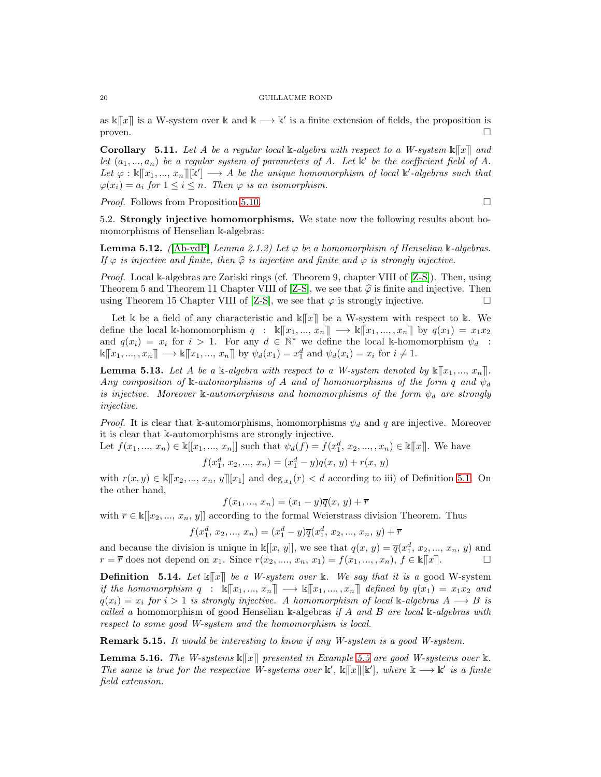as  $\kappa[[x]]$  is a W-system over k and  $k \longrightarrow k'$  is a finite extension of fields, the proposition is  $\Box$  proven.

<span id="page-19-2"></span>**Corollary** 5.11. Let A be a regular local k-algebra with respect to a W-system  $\mathbb{K}[\![x]\!]$  and let  $(a_1, ..., a_n)$  be a regular system of parameters of A. Let  $\mathbb{K}'$  be the coefficient field of A. Let  $\varphi : \kappa[[x_1, ..., x_n]][\kappa'] \longrightarrow A$  be the unique homomorphism of local  $\kappa'$ -algebras such that  $\varphi(x_i) = a_i$  for  $1 \leq i \leq n$ . Then  $\varphi$  is an isomorphism.

*Proof.* Follows from Proposition [5.10.](#page-18-0) □

5.2. Strongly injective homomorphisms. We state now the following results about homomorphisms of Henselian k-algebras:

<span id="page-19-1"></span>**Lemma 5.12.** ( $[Ab-vdP]$  Lemma 2.1.2) Let  $\varphi$  be a homomorphism of Henselian k-algebras. If  $\varphi$  is injective and finite, then  $\widehat{\varphi}$  is injective and finite and  $\varphi$  is strongly injective.

Proof. Local k-algebras are Zariski rings (cf. Theorem 9, chapter VIII of [\[Z-S\]](#page-25-30)). Then, using Theorem 5 and Theorem 11 Chapter VIII of [\[Z-S\]](#page-25-30), we see that  $\hat{\varphi}$  is finite and injective. Then using Theorem 15 Chapter VIII of [Z-S], we see that  $\varphi$  is strongly injective. using Theorem 15 Chapter VIII of [\[Z-S\]](#page-25-30), we see that  $\varphi$  is strongly injective.

Let k be a field of any characteristic and  $\mathbb{K}[\![x]\!]$  be a W-system with respect to k. We define the local k-homomorphism  $q : \mathbb{k}[[x_1, ..., x_n]] \longrightarrow \mathbb{k}[[x_1, ..., x_n]]$  by  $q(x_1) = x_1x_2$ and  $q(x_i) = x_i$  for  $i > 1$ . For any  $d \in \mathbb{N}^*$  we define the local k-homomorphism  $\psi_d$ :  $\mathbb{K}[[x_1, ..., x_n]] \longrightarrow \mathbb{K}[[x_1, ..., x_n]]$  by  $\psi_d(x_1) = x_1^d$  and  $\psi_d(x_i) = x_i$  for  $i \neq 1$ .

<span id="page-19-3"></span>**Lemma 5.13.** Let A be a k-algebra with respect to a W-system denoted by  $\mathbb{K}[[x_1, ..., x_n]]$ . Any composition of k-automorphisms of A and of homomorphisms of the form q and  $\psi_d$ is injective. Moreover k-automorphisms and homomorphisms of the form  $\psi_d$  are strongly injective.

*Proof.* It is clear that k-automorphisms, homomorphisms  $\psi_d$  and q are injective. Moreover it is clear that k-automorphisms are strongly injective.

Let  $f(x_1, ..., x_n) \in \mathbb{k}[[x_1, ..., x_n]]$  such that  $\psi_d(f) = f(x_1^d, x_2, ..., x_n) \in \mathbb{k}[[x]]$ . We have

$$
f(x_1^d, x_2, ..., x_n) = (x_1^d - y)q(x, y) + r(x, y)
$$
  

$$
x_2 = x_1 \in I[x_1]
$$
 and  $\deg_{x_1}(x) < d$  according to iii) of Defin

with  $r(x, y) \in \mathbb{K}[[x_2, ..., x_n, y]][x_1]$  and  $\deg_{x_1}(r) < d$  according to iii) of Definition [5.1.](#page-16-3) On the other hand,

$$
f(x_1, ..., x_n) = (x_1 - y)\overline{q}(x, y) + \overline{r}
$$

with  $\overline{r} \in \mathbb{k}[[x_2, ..., x_n, y]]$  according to the formal Weierstrass division Theorem. Thus

$$
f(x_1^d, x_2, ..., x_n) = (x_1^d - y)\overline{q}(x_1^d, x_2, ..., x_n, y) + \overline{r}
$$

and because the division is unique in  $\mathbb{k}[[x, y]],$  we see that  $q(x, y) = \overline{q}(x_1^d, x_2, ..., x_n, y)$  and  $r = \overline{r}$  does not depend on  $x_1$ . Since  $r(x_2, ..., x_n, x_1) = f(x_1, ..., x_n)$ ,  $f \in \mathbb{K}[[x]]$ .

<span id="page-19-0"></span>**Definition** 5.14. Let  $\mathbb{K}[\mathbb{T}]\mathbb{R}$  be a W-system over  $\mathbb{K}$ . We say that it is a good W-system if the homomorphism  $q : \mathbb{K}[x_1, ..., x_n] \longrightarrow \mathbb{K}[x_1, ..., x_n]$  defined by  $q(x_1) = x_1x_2$  and  $q(x_i) = x_i$  for  $i > 1$  is strongly injective. A homomorphism of local k-algebras  $A \longrightarrow B$  is called a homomorphism of good Henselian k-algebras if A and B are local k-algebras with respect to some good W-system and the homomorphism is local.

Remark 5.15. It would be interesting to know if any W-system is a good W-system.

**Lemma 5.16.** The W-systems  $\mathbb{K}[\![x]\!]$  presented in Example 5.5 are good W-systems over  $\mathbb{K}$ . The same is true for the respective W-systems over  $\mathbb{k}'$ ,  $\mathbb{k}[[x]][\mathbb{k}']$ , where  $\mathbb{k} \longrightarrow \mathbb{k}'$  is a finite field extension.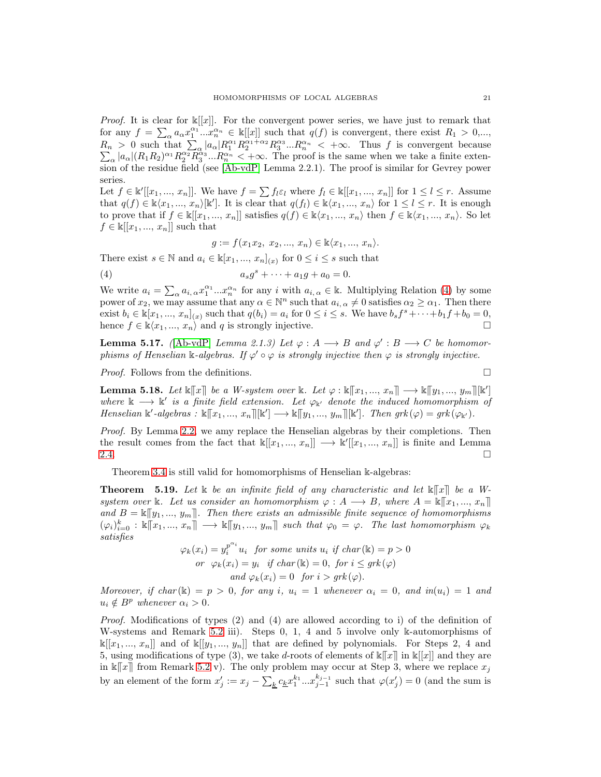*Proof.* It is clear for  $\mathbb{K}[[x]]$ . For the convergent power series, we have just to remark that for any  $f = \sum_{\alpha} a_{\alpha} x_1^{\alpha_1} \dots x_n^{\alpha_n} \in \mathbb{k}[[x]]$  such that  $q(f)$  is convergent, there exist  $R_1 > 0,...,$  $R_n > 0$  such that  $\sum_{\alpha} |a_{\alpha}| R_1^{\alpha_1} R_2^{\alpha_1 + \alpha_2} R_3^{\alpha_3} ... R_n^{\alpha_n} < +\infty$ . Thus f is convergent because<br> $\sum |a_{\alpha}| (R_1 R_2)^{\alpha_1} R_3^{\alpha_2} R_3^{\alpha_3} ... R_n^{\alpha_n} < +\infty$ . The proof is the same when we take a finite exten- $\alpha |a_{\alpha}| (R_1 R_2)^{\alpha_1} R_2^{\alpha_2} R_3^{\alpha_3} ... R_n^{\alpha_n} < +\infty$ . The proof is the same when we take a finite extension of the residue field (see [\[Ab-vdP\]](#page-24-0) Lemma 2.2.1). The proof is similar for Gevrey power series.

Let  $f \in \mathbb{k}[[x_1, ..., x_n]]$ . We have  $f = \sum f_l \varepsilon_l$  where  $f_l \in \mathbb{k}[[x_1, ..., x_n]]$  for  $1 \leq l \leq r$ . Assume that  $q(f) \in \mathbb{k} \langle x_1, ..., x_n \rangle[\mathbb{k}']$ . It is clear that  $q(f_l) \in \mathbb{k} \langle x_1, ..., x_n \rangle$  for  $1 \leq l \leq r$ . It is enough to prove that if  $f \in \mathbb{k}[[x_1, ..., x_n]]$  satisfies  $q(f) \in \mathbb{k}\langle x_1, ..., x_n \rangle$  then  $f \in \mathbb{k}\langle x_1, ..., x_n \rangle$ . So let  $f \in \mathbb{k}[[x_1, ..., x_n]]$  such that

<span id="page-20-1"></span>
$$
g := f(x_1 x_2, x_2, ..., x_n) \in \mathbb{k}\langle x_1, ..., x_n \rangle.
$$

There exist  $s \in \mathbb{N}$  and  $a_i \in \mathbb{k}[x_1, ..., x_n]_{(x)}$  for  $0 \leq i \leq s$  such that

(4) 
$$
a_s g^s + \dots + a_1 g + a_0 = 0.
$$

We write  $a_i = \sum_{\alpha} a_{i,\alpha} x_1^{\alpha_1} ... x_n^{\alpha_n}$  for any i with  $a_{i,\alpha} \in \mathbb{k}$ . Multiplying Relation [\(4\)](#page-20-1) by some power of  $x_2$ , we may assume that any  $\alpha \in \mathbb{N}^n$  such that  $a_{i, \alpha} \neq 0$  satisfies  $\alpha_2 \geq \alpha_1$ . Then there exist  $b_i \in \mathbb{k}[x_1, ..., x_n]_{(x)}$  such that  $q(b_i) = a_i$  for  $0 \le i \le s$ . We have  $b_s f^s + \cdots + b_1 f + b_0 = 0$ , hence  $f \in \mathbb{k}\langle x_1, ..., x_n \rangle$  and q is strongly injective.

<span id="page-20-2"></span>**Lemma 5.17.** ( $[Ab\text{-}vdP]$  Lemma 2.1.3) Let  $\varphi: A \longrightarrow B$  and  $\varphi': B \longrightarrow C$  be homomorphisms of Henselian k-algebras. If  $\varphi \circ \varphi$  is strongly injective then  $\varphi$  is strongly injective.

*Proof.* Follows from the definitions.

<span id="page-20-3"></span>**Lemma 5.18.** Let  $\mathbb{K}[[x]]$  be a W-system over  $\mathbb{k}$ . Let  $\varphi : \mathbb{K}[[x_1, ..., x_n]] \longrightarrow \mathbb{K}[[y_1, ..., y_m]][\mathbb{K}']$ where  $\mathbb{k} \longrightarrow \mathbb{k}'$  is a finite field extension. Let  $\varphi_{\mathbb{k}'}$  denote the induced homomorphism of Henselian  $\mathbb{k}'$ -algebras:  $\mathbb{k}[[x_1, ..., x_n]][\mathbb{k}'] \longrightarrow \mathbb{k}[[y_1, ..., y_m]][\mathbb{k}']$ . Then  $grk(\varphi) = grk(\varphi_{\mathbb{k}'})$ .

Proof. By Lemma [2.2,](#page-2-1) we amy replace the Henselian algebras by their completions. Then the result comes from the fact that  $\mathbb{k}[[x_1, ..., x_n]] \longrightarrow \mathbb{k}[[x_1, ..., x_n]]$  is finite and Lemma [2.4.](#page-3-0)  $\Box$ 

Theorem [3.4](#page-6-0) is still valid for homomorphisms of Henselian k-algebras:

<span id="page-20-0"></span>**Theorem** 5.19. Let k be an infinite field of any characteristic and let  $\mathbb{K}[\![x]\!]$  be a Wsystem over k. Let us consider an homomorphism  $\varphi: A \longrightarrow B$ , where  $A = \kappa[[x_1, ..., x_n]]$ and  $B = \mathbb{K}[[y_1, ..., y_m]]$ . Then there exists an admissible finite sequence of homomorphisms  $(\varphi_i)_{i=0}^k : \mathbb{k}[[x_1, ..., x_n]] \longrightarrow \mathbb{k}[[y_1, ..., y_m]]$  such that  $\varphi_0 = \varphi$ . The last homomorphism  $\varphi_k$ satisfies

$$
\varphi_k(x_i) = y_i^{p^{\alpha_i}} u_i \text{ for some units } u_i \text{ if char}(\mathbb{k}) = p > 0
$$
  
or 
$$
\varphi_k(x_i) = y_i \text{ if char}(\mathbb{k}) = 0, \text{ for } i \leq grk(\varphi)
$$
  
and 
$$
\varphi_k(x_i) = 0 \text{ for } i > grk(\varphi).
$$

Moreover, if char  $(\mathbb{k}) = p > 0$ , for any i,  $u_i = 1$  whenever  $\alpha_i = 0$ , and  $in(u_i) = 1$  and  $u_i \notin B^p$  whenever  $\alpha_i > 0$ .

Proof. Modifications of types (2) and (4) are allowed according to i) of the definition of W-systems and Remark [5.2](#page-16-2) iii). Steps 0, 1, 4 and 5 involve only k-automorphisms of  $\mathbb{k}[[x_1, ..., x_n]]$  and of  $\mathbb{k}[[y_1, ..., y_n]]$  that are defined by polynomials. For Steps 2, 4 and 5, using modifications of type (3), we take d-roots of elements of  $\kappa[[x]]$  in  $\kappa[[x]]$  and they are in  $\mathbb{k}[[x]]$  from Remark [5.2](#page-16-2) v). The only problem may occur at Step 3, where we replace  $x_j$ by an element of the form  $x'_j := x_j - \sum_k c_k x_1^{k_1} \dots x_{j-1}^{k_{j-1}}$  such that  $\varphi(x'_j) = 0$  (and the sum is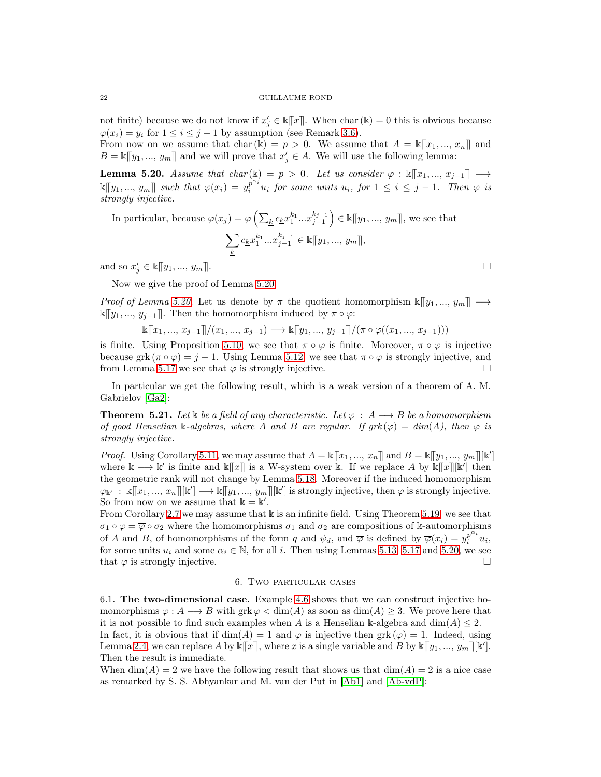not finite) because we do not know if  $x'_j \in \mathbb{R}[[x]]$ . When char  $(\mathbb{k}) = 0$  this is obvious because  $\varphi(x_i) = y_i$  for  $1 \leq i \leq j-1$  by assumption (see Remark [3.6\)](#page-9-1).

From now on we assume that char(k) =  $p > 0$ . We assume that  $A = \mathbb{K}[[x_1, ..., x_n]]$  and  $B = \mathbb{K}[[y_1, ..., y_m]]$  and we will prove that  $x'_j \in A$ . We will use the following lemma:

<span id="page-21-2"></span>**Lemma 5.20.** Assume that char (k) = p > 0. Let us consider  $\varphi : \mathbb{K}[x_1, ..., x_{j-1}] \longrightarrow$  $\llbracket y_1,..., y_m \rrbracket$  such that  $\varphi(x_i) = y_i^{p^{\alpha_i}} u_i$  for some units  $u_i$ , for  $1 \leq i \leq j-1$ . Then  $\varphi$  is strongly injective.

In particular, because  $\varphi(x_j) = \varphi\left(\sum_k c_k x_1^{k_1} ... x_{j-1}^{k_{j-1}}\right)$  $\Big) \in \mathbb{k}[\![y_1, ..., y_m]\!],$  we see that  $\overline{\phantom{0}}$ k  $c_{\underline{k}}x_1^{k_1}...x_{j-1}^{k_{j-1}} \in \mathbb{K}[[y_1, ..., y_m]],$ 

and so  $x'_{j} \in \mathbb{K}[[y_1, ..., y_m]].$ 

Now we give the proof of Lemma [5.20:](#page-21-2)

*Proof of Lemma [5.20.](#page-21-2)* Let us denote by  $\pi$  the quotient homomorphism  $\mathbb{K}[\![y_1, ..., y_m]\!] \longrightarrow$ k $\llbracket y_1, ..., y_{j-1} \rrbracket$ . Then the homomorphism induced by π ∘  $\varphi$ :

 $\mathbb{K}[x_1, ..., x_{i-1}]/(x_1, ..., x_{i-1}) \longrightarrow \mathbb{K}[y_1, ..., y_{i-1}]/(\pi \circ \varphi((x_1, ..., x_{i-1})))$ 

is finite. Using Proposition [5.10,](#page-18-0) we see that  $\pi \circ \varphi$  is finite. Moreover,  $\pi \circ \varphi$  is injective because grk  $(\pi \circ \varphi) = j - 1$ . Using Lemma [5.12,](#page-19-1) we see that  $\pi \circ \varphi$  is strongly injective, and from Lemma [5.17](#page-20-2) we see that  $\varphi$  is strongly injective.

In particular we get the following result, which is a weak version of a theorem of A. M. Gabrielov [\[Ga2\]](#page-25-1):

<span id="page-21-0"></span>**Theorem 5.21.** Let k be a field of any characteristic. Let  $\varphi : A \longrightarrow B$  be a homomorphism of good Henselian k-algebras, where A and B are regular. If  $grk(\varphi) = dim(A)$ , then  $\varphi$  is strongly injective.

*Proof.* Using Corollary [5.11,](#page-19-2) we may assume that  $A = \kappa ||x_1, ..., x_n||$  and  $B = \kappa ||y_1, ..., y_m||[\kappa']$ where  $\mathbb{k} \longrightarrow \mathbb{k}'$  is finite and  $\mathbb{k}[[x]]$  is a W-system over k. If we replace A by  $\mathbb{k}[[x]][\mathbb{k}']$  then the geometric rank will not change by Lemma [5.18.](#page-20-3) Moreover if the induced homomorphism  $\varphi_{\mathbb{k}'} : \mathbb{k}[[x_1, ..., x_n]][\mathbb{k}'] \longrightarrow \mathbb{k}[[y_1, ..., y_m]][\mathbb{k}']$  is strongly injective, then  $\varphi$  is strongly injective. So from now on we assume that  $\mathbb{k} = \mathbb{k}'$ .

From Corollary [2.7](#page-4-1) we may assume that  $\Bbbk$  is an infinite field. Using Theorem [5.19,](#page-20-0) we see that  $\sigma_1 \circ \varphi = \overline{\varphi} \circ \sigma_2$  where the homomorphisms  $\sigma_1$  and  $\sigma_2$  are compositions of k-automorphisms of A and B, of homomorphisms of the form q and  $\psi_d$ , and  $\overline{\varphi}$  is defined by  $\overline{\varphi}(x_i) = y_i^{p^{\alpha_i}} u_i$ , for some units  $u_i$  and some  $\alpha_i \in \mathbb{N}$ , for all i. Then using Lemmas [5.13,](#page-19-3) [5.17](#page-20-2) and [5.20,](#page-21-2) we see that  $\varphi$  is strongly injective.

# 6. Two particular cases

<span id="page-21-1"></span>6.1. The two-dimensional case. Example [4.6](#page-12-0) shows that we can construct injective homomorphisms  $\varphi: A \longrightarrow B$  with  $\operatorname{grk} \varphi < \dim(A)$  as soon as  $\dim(A) \geq 3$ . We prove here that it is not possible to find such examples when A is a Henselian k-algebra and  $\dim(A) \leq 2$ . In fact, it is obvious that if  $dim(A) = 1$  and  $\varphi$  is injective then grk  $(\varphi) = 1$ . Indeed, using

Lemma [2.4,](#page-3-0) we can replace A by  $\kappa ||x||$ , where x is a single variable and B by  $\kappa ||y_1, ..., y_m||[\kappa']$ . Then the result is immediate.

When  $\dim(A) = 2$  we have the following result that shows us that  $\dim(A) = 2$  is a nice case as remarked by S. S. Abhyankar and M. van der Put in [\[Ab1\]](#page-24-2) and [\[Ab-vdP\]](#page-24-0):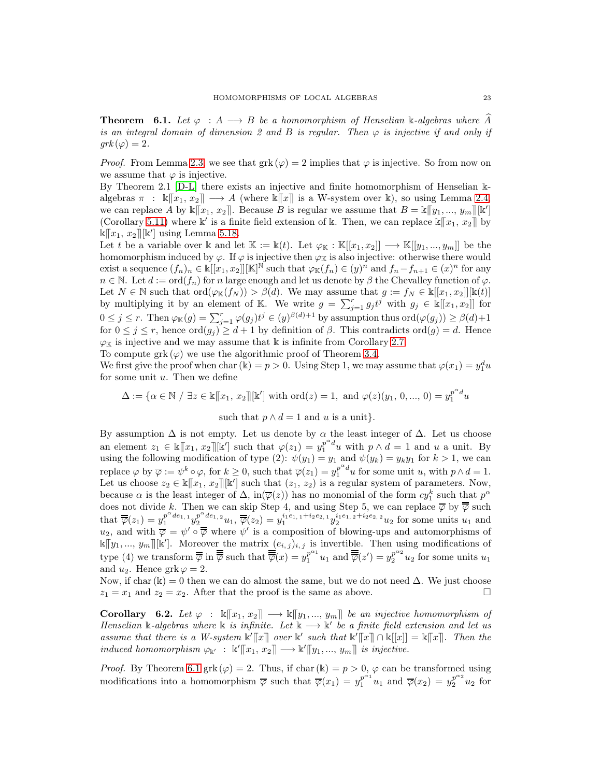<span id="page-22-0"></span>**Theorem 6.1.** Let  $\varphi : A \longrightarrow B$  be a homomorphism of Henselian k-algebras where A is an integral domain of dimension 2 and B is regular. Then  $\varphi$  is injective if and only if  $grk(\varphi)=2.$ 

*Proof.* From Lemma [2.3,](#page-3-2) we see that grk ( $\varphi$ ) = 2 implies that  $\varphi$  is injective. So from now on we assume that  $\varphi$  is injective.

By Theorem 2.1 [\[D-L\]](#page-25-22) there exists an injective and finite homomorphism of Henselian kalgebras  $\pi : \mathbb{K}[\![x_1, x_2]\!] \longrightarrow A$  (where  $\mathbb{K}[\![x]\!]$  is a W-system over k), so using Lemma [2.4,](#page-3-0) we can replace A by  $\&\lbrack\!\lbrack x_1, x_2 \rbrack\!\rbrack$ . Because B is regular we assume that  $B = \&\lbrack\!\lbrack y_1, ..., y_m \rbrack\rbrack \llbrack k']$ (Corollary [5.11\)](#page-19-2) where  $\mathbb{k}'$  is a finite field extension of k. Then, we can replace  $\mathbb{k}[[x_1, x_2]]$  by  $\hat{\mathbb{K}}[x_1, x_2]$ [ $\mathbb{K}'$ ] using Lemma [5.18.](#page-20-3)

Let t be a variable over k and let  $\mathbb{K} := \mathbb{k}(t)$ . Let  $\varphi_{\mathbb{K}} : \mathbb{K}[[x_1, x_2]] \longrightarrow \mathbb{K}[[y_1, ..., y_m]]$  be the homomorphism induced by  $\varphi$ . If  $\varphi$  is injective then  $\varphi_{\mathbb{K}}$  is also injective: otherwise there would exist a sequence  $(f_n)_n \in \mathbb{K}[[x_1, x_2]][\mathbb{K}]^{\mathbb{N}}$  such that  $\varphi_{\mathbb{K}}(f_n) \in (y)^n$  and  $f_n - f_{n+1} \in (x)^n$  for any  $n \in \mathbb{N}$ . Let  $d := \text{ord}(f_n)$  for n large enough and let us denote by  $\beta$  the Chevalley function of  $\varphi$ . Let  $N \in \mathbb{N}$  such that  $\text{ord}(\varphi_{\mathbb{K}}(f_N)) > \beta(d)$ . We may assume that  $g := f_N \in \mathbb{k}[[x_1, x_2]][\mathbb{k}(t)]$ by multiplying it by an element of K. We write  $g = \sum_{j=1}^r g_j t^j$  with  $g_j \in \mathbb{k}[[x_1, x_2]]$  for  $0 \leq j \leq r$ . Then  $\varphi_{\mathbb{K}}(g) = \sum_{j=1}^r \varphi(g_j) t^j \in (y)^{\beta(d)+1}$  by assumption thus  $\text{ord}(\varphi(g_j)) \geq \beta(d)+1$ for  $0 \leq j \leq r$ , hence  $\text{ord}(g_j) \geq d+1$  by definition of  $\beta$ . This contradicts  $\text{ord}(g) = d$ . Hence  $\varphi_{\mathbb{K}}$  is injective and we may assume that  $\mathbb{k}$  is infinite from Corollary [2.7.](#page-4-1)

To compute grk  $(\varphi)$  we use the algorithmic proof of Theorem [3.4.](#page-6-0)

We first give the proof when char (k) =  $p > 0$ . Using Step 1, we may assume that  $\varphi(x_1) = y_1^d u$ for some unit  $u$ . Then we define

 $\Delta := \{ \alpha \in \mathbb{N} \; / \; \exists z \in \mathbb{K}[[x_1, x_2]][\mathbb{K}'] \text{ with } \text{ord}(z) = 1, \text{ and } \varphi(z)(y_1, 0, ..., 0) = y_1^{p^{\alpha}d}u_1$ 

such that  $p \wedge d = 1$  and u is a unit}.

By assumption  $\Delta$  is not empty. Let us denote by  $\alpha$  the least integer of  $\Delta$ . Let us choose an element  $z_1 \in \mathbb{K}[[x_1, x_2]][\mathbb{K}']$  such that  $\varphi(z_1) = y_1^{p^{\alpha}d}u$  with  $p \wedge d = 1$  and u a unit. By using the following modification of type (2):  $\psi(y_1) = y_1$  and  $\psi(y_k) = y_k y_1$  for  $k > 1$ , we can replace  $\varphi$  by  $\overline{\varphi} := \psi^k \circ \varphi$ , for  $k \geq 0$ , such that  $\overline{\varphi}(z_1) = y_1^{p^{\alpha}d} u$  for some unit u, with  $p \wedge d = 1$ . Let us choose  $z_2 \in \mathbb{K}[[x_1, x_2]][\mathbb{K}']$  such that  $(z_1, z_2)$  is a regular system of parameters. Now, because  $\alpha$  is the least integer of  $\Delta$ , in $(\overline{\varphi}(z))$  has no monomial of the form  $cy_1^k$  such that  $p^{\alpha}$ does not divide k. Then we can skip Step 4, and using Step 5, we can replace  $\overline{\varphi}$  by  $\overline{\overline{\varphi}}$  such that  $\overline{\overline{\varphi}}(z_1) = y_1^{p^{\alpha}de_{1,1}} y_2^{p^{\alpha}de_{1,2}} u_1, \overline{\overline{\varphi}}(z_2) = y_1^{i_1e_{1,1}+i_2e_{2,1}} y_2^{i_1e_{1,2}+i_2e_{2,2}} u_2$  for some units  $u_1$  and  $u_2$ , and with  $\overline{\varphi} = \psi' \circ \overline{\overline{\varphi}}$  where  $\psi'$  is a composition of blowing-ups and automorphisms of  $\lfloor \mathbf{k} \rfloor [y_1, ..., y_m] \rfloor [\mathbf{k}']$ . Moreover the matrix  $(e_{i,j})_{i,j}$  is invertible. Then using modifications of type (4) we transform  $\overline{\overline{\phi}}$  in  $\overline{\overline{\overline{\phi}}}$  such that  $\overline{\overline{\overline{\phi}}}(x) = y_1^{p^{\alpha_1}} u_1$  and  $\overline{\overline{\overline{\phi}}}(z') = y_2^{p^{\alpha_2}} u_2$  for some units  $u_1$ and  $u_2$ . Hence grk  $\varphi = 2$ .

Now, if char(k) = 0 then we can do almost the same, but we do not need  $\Delta$ . We just choose  $z_1 = x_1$  and  $z_2 = x_2$ . After that the proof is the same as above.

**Corollary** 6.2. Let  $\varphi : \mathbb{k}[[x_1, x_2]] \longrightarrow \mathbb{k}[[y_1, ..., y_m]]$  be an injective homomorphism of Henselian k-algebras where k is infinite. Let  $k \rightarrow k'$  be a finite field extension and let us assume that there is a W-system  $\mathbb{k}'[\![x]\!]$  over  $\mathbb{k}'$  such that  $\mathbb{k}'[\![x]\!] \cap \mathbb{k}[[x]] = \mathbb{k}[\![x]\!]$ . Then the induced homomorphism  $\varphi_{\mathbb{k}'} : \mathbb{k}'[\![x_1, x_2]\!] \longrightarrow \mathbb{k}'[\![y_1, ..., y_m]\!]$  is injective.

*Proof.* By Theorem [6.1](#page-22-0) grk ( $\varphi$ ) = 2. Thus, if char(k) = p > 0,  $\varphi$  can be transformed using modifications into a homomorphism  $\overline{\varphi}$  such that  $\overline{\varphi}(x_1) = y_1^{p^{\alpha_1}} u_1$  and  $\overline{\varphi}(x_2) = y_2^{p^{\alpha_2}} u_2$  for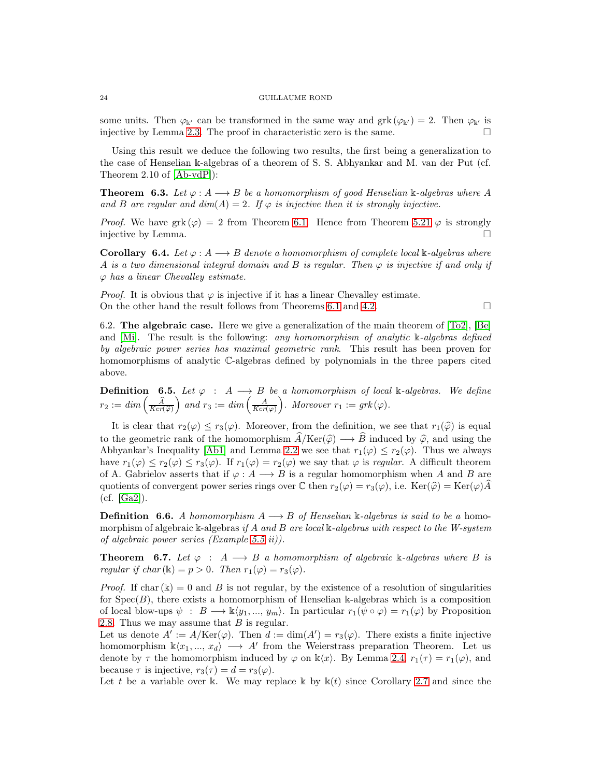some units. Then  $\varphi_{\mathbb{k}'}$  can be transformed in the same way and grk  $(\varphi_{\mathbb{k}'} ) = 2$ . Then  $\varphi_{\mathbb{k}'}$  is injective by Lemma [2.3.](#page-3-2) The proof in characteristic zero is the same.  $\Box$ 

Using this result we deduce the following two results, the first being a generalization to the case of Henselian k-algebras of a theorem of S. S. Abhyankar and M. van der Put (cf. Theorem 2.10 of [\[Ab-vdP\]](#page-24-0)):

<span id="page-23-0"></span>**Theorem 6.3.** Let  $\varphi: A \longrightarrow B$  be a homomorphism of good Henselian k-algebras where A and B are regular and  $dim(A) = 2$ . If  $\varphi$  is injective then it is strongly injective.

*Proof.* We have grk  $(\varphi) = 2$  from Theorem [6.1.](#page-22-0) Hence from Theorem [5.21](#page-21-0)  $\varphi$  is strongly injective by Lemma.

**Corollary 6.4.** Let  $\varphi: A \longrightarrow B$  denote a homomorphism of complete local k-algebras where A is a two dimensional integral domain and B is regular. Then  $\varphi$  is injective if and only if  $\varphi$  has a linear Chevalley estimate.

*Proof.* It is obvious that  $\varphi$  is injective if it has a linear Chevalley estimate. On the other hand the result follows from Theorems [6.1](#page-22-0) and [4.2.](#page-10-0)  $\Box$ 

6.2. **The algebraic case.** Here we give a generalization of the main theorem of  $|T_02|$ ,  $|Be|$ and [\[Mi\]](#page-25-2). The result is the following: any homomorphism of analytic k-algebras defined by algebraic power series has maximal geometric rank. This result has been proven for homomorphisms of analytic C-algebras defined by polynomials in the three papers cited above.

**Definition** 6.5. Let  $\varphi : A \longrightarrow B$  be a homomorphism of local k-algebras. We define  $r_2 := dim\left(\frac{\widehat{A}}{Ker(\widehat{\varphi})}\right)$ ) and  $r_3 := dim\left(\frac{A}{Ker(\varphi)}\right)$ ). Moreover  $r_1 := grk(\varphi)$ .

It is clear that  $r_2(\varphi) \leq r_3(\varphi)$ . Moreover, from the definition, we see that  $r_1(\widehat{\varphi})$  is equal to the geometric rank of the homomorphism  $\widehat{A}/\text{Ker}(\widehat{\varphi}) \longrightarrow \widehat{B}$  induced by  $\widehat{\varphi}$ , and using the Abhyankar's Inequality [\[Ab1\]](#page-24-2) and Lemma [2.2](#page-2-1) we see that  $r_1(\varphi) \leq r_2(\varphi)$ . Thus we always have  $r_1(\varphi) \leq r_2(\varphi) \leq r_3(\varphi)$ . If  $r_1(\varphi) = r_2(\varphi)$  we say that  $\varphi$  is regular. A difficult theorem of A. Gabrielov asserts that if  $\varphi: A \longrightarrow B$  is a regular homomorphism when A and B are quotients of convergent power series rings over  $\mathbb C$  then  $r_2(\varphi) = r_3(\varphi)$ , i.e.  $\text{Ker}(\widehat{\varphi}) = \text{Ker}(\varphi)A$ (cf. [\[Ga2\]](#page-25-1)).

**Definition 6.6.** A homomorphism  $A \rightarrow B$  of Henselian k-algebras is said to be a homomorphism of algebraic k-algebras if A and B are local k-algebras with respect to the W-system of algebraic power series (Example 5.5 ii)).

**Theorem 6.7.** Let  $\varphi : A \longrightarrow B$  a homomorphism of algebraic k-algebras where B is regular if  $char(\mathbb{k}) = p > 0$ . Then  $r_1(\varphi) = r_3(\varphi)$ .

*Proof.* If char( $\mathbb{k}$ ) = 0 and B is not regular, by the existence of a resolution of singularities for  $Spec(B)$ , there exists a homomorphism of Henselian k-algebras which is a composition of local blow-ups  $\psi : B \longrightarrow \mathbb{k} \langle y_1, ..., y_m \rangle$ . In particular  $r_1(\psi \circ \varphi) = r_1(\varphi)$  by Proposition [2.8.](#page-4-0) Thus we may assume that  $B$  is regular.

Let us denote  $A' := A/\text{Ker}(\varphi)$ . Then  $d := \dim(A') = r_3(\varphi)$ . There exists a finite injective homomorphism  $\mathbb{k}\langle x_1, ..., x_d \rangle \longrightarrow A'$  from the Weierstrass preparation Theorem. Let us denote by  $\tau$  the homomorphism induced by  $\varphi$  on  $\Bbbk\langle x\rangle$ . By Lemma [2.4,](#page-3-0)  $r_1(\tau) = r_1(\varphi)$ , and because  $\tau$  is injective,  $r_3(\tau) = d = r_3(\varphi)$ .

Let t be a variable over k. We may replace k by  $k(t)$  since Corollary [2.7](#page-4-1) and since the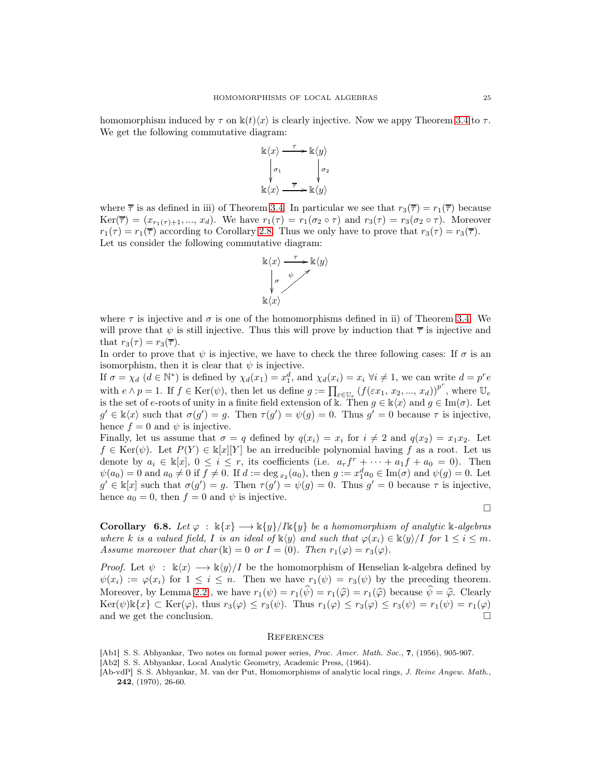homomorphism induced by  $\tau$  on  $\mathbb{k}(t)\langle x \rangle$  is clearly injective. Now we appy Theorem [3.4](#page-6-0) to  $\tau$ . We get the following commutative diagram:

$$
\begin{array}{ccc}\n\mathbb{k}\langle x\rangle & \xrightarrow{\tau} & \mathbb{k}\langle y\rangle \\
\downarrow{\scriptstyle\sigma_1} & & \downarrow{\scriptstyle\sigma_2} \\
\mathbb{k}\langle x\rangle & \xrightarrow{\overline{\tau}} & \mathbb{k}\langle y\rangle\n\end{array}
$$

where  $\bar{\tau}$  is as defined in iii) of Theorem [3.4.](#page-6-0) In particular we see that  $r_3(\bar{\tau}) = r_1(\bar{\tau})$  because  $Ker(\overline{\tau}) = (x_{r_1(\tau)+1},...,x_d)$ . We have  $r_1(\tau) = r_1(\sigma_2 \circ \tau)$  and  $r_3(\tau) = r_3(\sigma_2 \circ \tau)$ . Moreover  $r_1(\tau) = r_1(\overline{\tau})$  according to Corollary [2.8.](#page-4-0) Thus we only have to prove that  $r_3(\tau) = r_3(\overline{\tau})$ . Let us consider the following commutative diagram:



where  $\tau$  is injective and  $\sigma$  is one of the homomorphisms defined in ii) of Theorem [3.4.](#page-6-0) We will prove that  $\psi$  is still injective. Thus this will prove by induction that  $\bar{\tau}$  is injective and that  $r_3(\tau) = r_3(\overline{\tau}).$ 

In order to prove that  $\psi$  is injective, we have to check the three following cases: If  $\sigma$  is an isomorphism, then it is clear that  $\psi$  is injective.

If  $\sigma = \chi_d$   $(d \in \mathbb{N}^*)$  is defined by  $\chi_d(x_1) = x_1^d$ , and  $\chi_d(x_i) = x_i$   $\forall i \neq 1$ , we can write  $d = p^r e$ with  $e \wedge p = 1$ . If  $f \in \text{Ker}(\psi)$ , then let us define  $g := \prod_{\varepsilon \in \mathbb{U}_e} (f(\varepsilon x_1, x_2, ..., x_d))^p$ , where  $\mathbb{U}_e$ is the set of e-roots of unity in a finite field extension of k. Then  $g \in \mathbb{k}\langle x \rangle$  and  $g \in \text{Im}(\sigma)$ . Let  $g' \in \mathbb{k}\langle x \rangle$  such that  $\sigma(g') = g$ . Then  $\tau(g') = \psi(g) = 0$ . Thus  $g' = 0$  because  $\tau$  is injective, hence  $f = 0$  and  $\psi$  is injective.

Finally, let us assume that  $\sigma = q$  defined by  $q(x_i) = x_i$  for  $i \neq 2$  and  $q(x_2) = x_1x_2$ . Let  $f \in \text{Ker}(\psi)$ . Let  $P(Y) \in \mathbb{k}[x][Y]$  be an irreducible polynomial having f as a root. Let us denote by  $a_i \in \mathbb{k}[x], 0 \le i \le r$ , its coefficients (i.e.  $a_r f^r + \cdots + a_1 f + a_0 = 0$ ). Then  $\psi(a_0) = 0$  and  $a_0 \neq 0$  if  $f \neq 0$ . If  $d := \deg_{x_2}(a_0)$ , then  $g := x_1^d a_0 \in \text{Im}(\sigma)$  and  $\psi(g) = 0$ . Let  $g' \in \mathbb{k}[x]$  such that  $\sigma(g') = g$ . Then  $\tau(g') = \psi(g) = 0$ . Thus  $g' = 0$  because  $\tau$  is injective, hence  $a_0 = 0$ , then  $f = 0$  and  $\psi$  is injective.

 $\Box$ 

<span id="page-24-1"></span>Corollary 6.8. Let  $\varphi : \Bbbk\{x\} \longrightarrow \Bbbk\{y\}/I\Bbbk\{y\}$  be a homomorphism of analytic  $\Bbbk$ -algebras where k is a valued field, I is an ideal of  $\mathbb{k}\langle y \rangle$  and such that  $\varphi(x_i) \in \mathbb{k}\langle y \rangle /I$  for  $1 \leq i \leq m$ . Assume moreover that char ( $\Bbbk$ ) = 0 or I = (0). Then  $r_1(\varphi) = r_3(\varphi)$ .

*Proof.* Let  $\psi : \mathbb{k}\langle x \rangle \longrightarrow \mathbb{k}\langle y \rangle /I$  be the homomorphism of Henselian k-algebra defined by  $\psi(x_i) := \varphi(x_i)$  for  $1 \leq i \leq n$ . Then we have  $r_1(\psi) = r_3(\psi)$  by the preceding theorem. Moreover, by Lemma [2.2](#page-2-1), we have  $r_1(\psi) = r_1(\widehat{\psi}) = r_1(\widehat{\varphi}) = r_1(\widehat{\varphi})$  because  $\widehat{\psi} = \widehat{\varphi}$ . Clearly  $\text{Ker}(\psi) \mathbb{K}\{x\} \subset \text{Ker}(\varphi), \text{ thus } r_3(\varphi) \leq r_3(\psi). \text{ Thus } r_1(\varphi) \leq r_3(\varphi) \leq r_3(\psi) = r_1(\psi) = r_1(\varphi)$ and we get the conclusion.

### **REFERENCES**

- <span id="page-24-2"></span>[Ab1] S. S. Abhyankar, Two notes on formal power series, Proc. Amer. Math. Soc., 7, (1956), 905-907.
- <span id="page-24-3"></span>[Ab2] S. S. Abhyankar, Local Analytic Geometry, Academic Press, (1964).
- <span id="page-24-0"></span>[Ab-vdP] S. S. Abhyankar, M. van der Put, Homomorphisms of analytic local rings, J. Reine Angew. Math., 242, (1970), 26-60.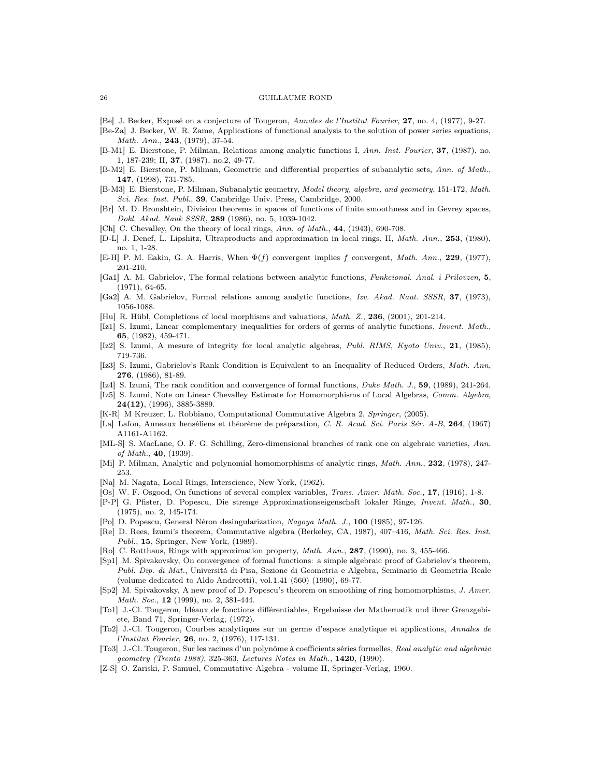- <span id="page-25-12"></span>[Be] J. Becker, Exposé on a conjecture of Tougeron, Annales de l'Institut Fourier, 27, no. 4, (1977), 9-27.
- <span id="page-25-3"></span>[Be-Za] J. Becker, W. R. Zame, Applications of functional analysis to the solution of power series equations, Math. Ann., 243, (1979), 37-54.
- <span id="page-25-8"></span>[B-M1] E. Bierstone, P. Milman, Relations among analytic functions I, Ann. Inst. Fourier, 37, (1987), no. 1, 187-239; II, 37, (1987), no.2, 49-77.
- <span id="page-25-9"></span>[B-M2] E. Bierstone, P. Milman, Geometric and differential properties of subanalytic sets, Ann. of Math., 147, (1998), 731-785.
- <span id="page-25-10"></span>[B-M3] E. Bierstone, P. Milman, Subanalytic geometry, *Model theory, algebra, and geometry*, 151-172, Math. Sci. Res. Inst. Publ., 39, Cambridge Univ. Press, Cambridge, 2000.
- <span id="page-25-27"></span>[Br] M. D. Bronshtein, Division theorems in spaces of functions of finite smoothness and in Gevrey spaces, Dokl. Akad. Nauk SSSR, 289 (1986), no. 5, 1039-1042.
- <span id="page-25-14"></span>[Ch] C. Chevalley, On the theory of local rings, Ann. of Math., 44, (1943), 690-708.
- <span id="page-25-22"></span>[D-L] J. Denef, L. Lipshitz, Ultraproducts and approximation in local rings. II, Math. Ann., 253, (1980), no. 1, 1-28.
- <span id="page-25-0"></span>[E-H] P. M. Eakin, G. A. Harris, When  $\Phi(f)$  convergent implies f convergent, Math. Ann., 229, (1977), 201-210.
- <span id="page-25-20"></span>[Ga1] A. M. Gabrielov, The formal relations between analytic functions, Funkcional. Anal. i Prilovzen, 5, (1971), 64-65.
- <span id="page-25-1"></span>[Ga2] A. M. Gabrielov, Formal relations among analytic functions, Izv. Akad. Naut. SSSR, 37, (1973), 1056-1088.
- <span id="page-25-7"></span>[Hu] R. Hübl, Completions of local morphisms and valuations, Math. Z., 236, (2001), 201-214.
- <span id="page-25-17"></span>[Iz1] S. Izumi, Linear complementary inequalities for orders of germs of analytic functions, Invent. Math., 65, (1982), 459-471.
- [Iz2] S. Izumi, A mesure of integrity for local analytic algebras, Publ. RIMS, Kyoto Univ., 21, (1985), 719-736.
- <span id="page-25-4"></span>[Iz3] S. Izumi, Gabrielov's Rank Condition is Equivalent to an Inequality of Reduced Orders, Math. Ann, 276, (1986), 81-89.
- <span id="page-25-5"></span>[Iz4] S. Izumi, The rank condition and convergence of formal functions, Duke Math. J., 59, (1989), 241-264.
- <span id="page-25-15"></span>[Iz5] S. Izumi, Note on Linear Chevalley Estimate for Homomorphisms of Local Algebras, Comm. Algebra, 24(12), (1996), 3885-3889.
- <span id="page-25-13"></span>[K-R] M Kreuzer, L. Robbiano, Computational Commutative Algebra 2, Springer, (2005).
- <span id="page-25-28"></span>[La] Lafon, Anneaux henséliens et théorème de préparation, C. R. Acad. Sci. Paris Sér. A-B, 264, (1967) A1161-A1162.
- <span id="page-25-21"></span>[ML-S] S. MacLane, O. F. G. Schilling, Zero-dimensional branches of rank one on algebraic varieties, Ann. of Math., 40, (1939).
- <span id="page-25-2"></span>[Mi] P. Milman, Analytic and polynomial homomorphisms of analytic rings, Math. Ann., 232, (1978), 247-253.
- <span id="page-25-16"></span>[Na] M. Nagata, Local Rings, Interscience, New York, (1962).
- <span id="page-25-19"></span>[Os] W. F. Osgood, On functions of several complex variables, Trans. Amer. Math. Soc., 17, (1916), 1-8.
- <span id="page-25-26"></span>[P-P] G. Pfister, D. Popescu, Die strenge Approximationseigenschaft lokaler Ringe, Invent. Math., 30, (1975), no. 2, 145-174.
- <span id="page-25-23"></span>[Po] D. Popescu, General Néron desingularization, Nagoya Math. J., 100 (1985), 97-126.
- <span id="page-25-18"></span>[Re] D. Rees, Izumi's theorem, Commutative algebra (Berkeley, CA, 1987), 407–416, Math. Sci. Res. Inst. Publ., 15, Springer, New York, (1989).
- <span id="page-25-24"></span>[Ro] C. Rotthaus, Rings with approximation property, *Math. Ann.*, **287**, (1990), no. 3, 455-466.
- <span id="page-25-6"></span>[Sp1] M. Spivakovsky, On convergence of formal functions: a simple algebraic proof of Gabrielov's theorem, Publ. Dip. di Mat., Universitá di Pisa, Sezione di Geometria e Algebra, Seminario di Geometria Reale (volume dedicated to Aldo Andreotti), vol.1.41 (560) (1990), 69-77.
- <span id="page-25-25"></span>[Sp2] M. Spivakovsky, A new proof of D. Popescu's theorem on smoothing of ring homomorphisms, J. Amer. Math. Soc., 12 (1999), no. 2, 381-444.
- <span id="page-25-29"></span>[To1] J.-Cl. Tougeron, Idéaux de fonctions différentiables, Ergebnisse der Mathematik und ihrer Grenzgebiete, Band 71, Springer-Verlag, (1972).
- <span id="page-25-11"></span>[To2] J.-Cl. Tougeron, Courbes analytiques sur un germe d'espace analytique et applications, Annales de l'Institut Fourier, 26, no. 2, (1976), 117-131.
- [To3] J.-Cl. Tougeron, Sur les racines d'un polynôme à coefficients séries formelles, Real analytic and algebraic geometry (Trento 1988), 325-363, Lectures Notes in Math., 1420, (1990).
- <span id="page-25-30"></span>[Z-S] O. Zariski, P. Samuel, Commutative Algebra - volume II, Springer-Verlag, 1960.